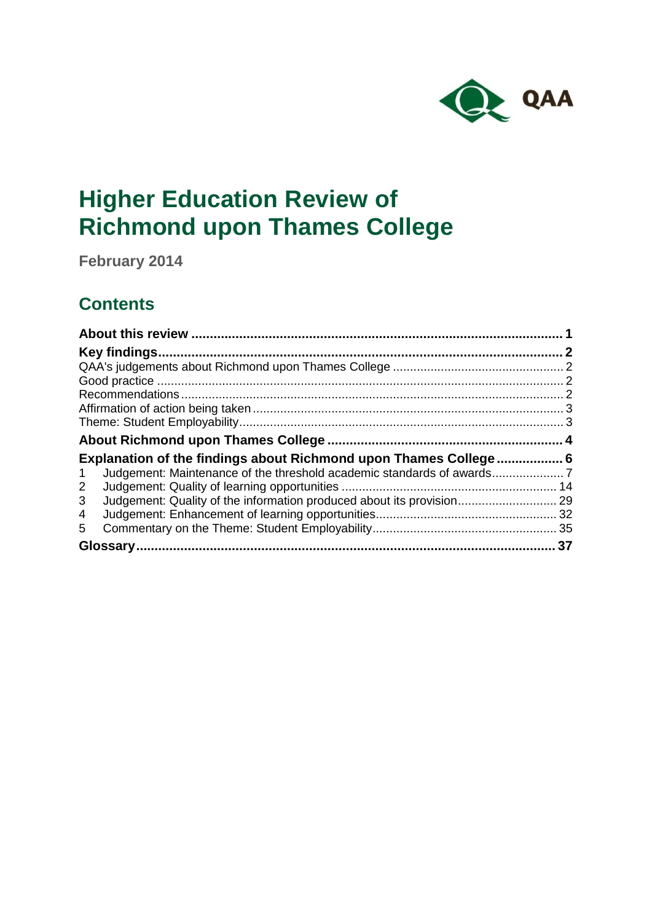

# **Higher Education Review of Richmond upon Thames College**

**February 2014**

## **Contents**

| Key findings.                                                              |  |
|----------------------------------------------------------------------------|--|
|                                                                            |  |
|                                                                            |  |
|                                                                            |  |
|                                                                            |  |
|                                                                            |  |
|                                                                            |  |
| Explanation of the findings about Richmond upon Thames College 6           |  |
| $\mathbf 1$                                                                |  |
| $\overline{2}$                                                             |  |
| Judgement: Quality of the information produced about its provision 29<br>3 |  |
| 4                                                                          |  |
| 5                                                                          |  |
| 37                                                                         |  |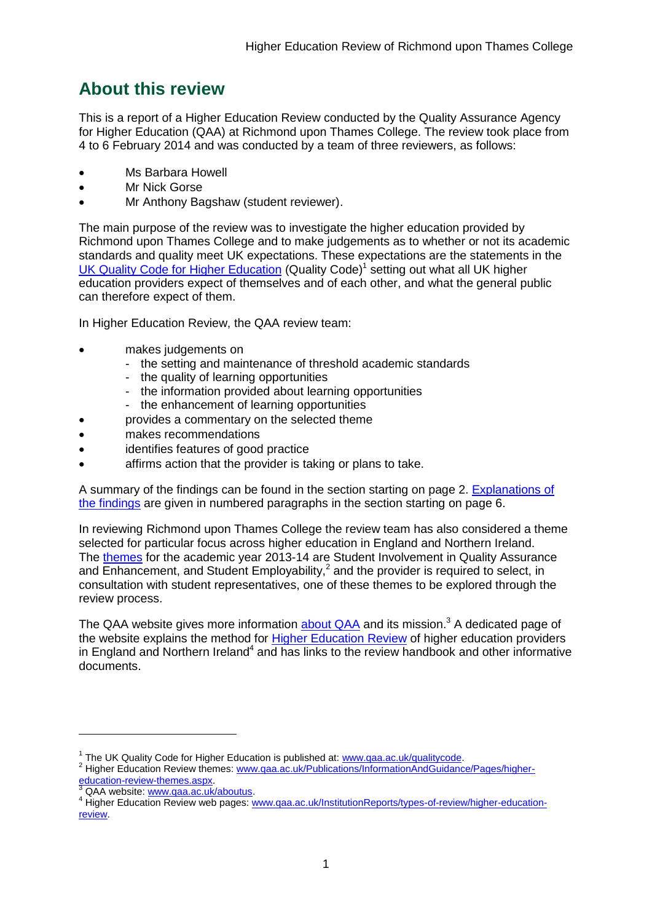## <span id="page-1-0"></span>**About this review**

This is a report of a Higher Education Review conducted by the Quality Assurance Agency for Higher Education (QAA) at Richmond upon Thames College. The review took place from 4 to 6 February 2014 and was conducted by a team of three reviewers, as follows:

- Ms Barbara Howell
- Mr Nick Gorse
- Mr Anthony Bagshaw (student reviewer).

The main purpose of the review was to investigate the higher education provided by Richmond upon Thames College and to make judgements as to whether or not its academic standards and quality meet UK expectations. These expectations are the statements in the UK Quality Code for Higher [Education](http://www.qaa.ac.uk/AssuringStandardsAndQuality/quality-code/Pages/default.aspx) (Quality Code)<sup>1</sup> setting out what all UK [higher](http://newlive.qaa.ac.uk/AboutUs/glossary/Pages/glossary-h.aspx#h2.1) [education](http://newlive.qaa.ac.uk/AboutUs/glossary/Pages/glossary-h.aspx#h2.1) providers expect of themselves and of each other, and what the general public can therefore expect of them.

In Higher Education Review, the QAA review team:

- makes judgements on
	- the setting and maintenance of threshold academic standards
	- the quality of learning opportunities
	- the information provided about learning opportunities
	- the enhancement of learning opportunities
	- provides a commentary on the selected theme
- makes recommendations
- identifies features of good practice
- affirms action that the provider is taking or plans to take.

A summary of the findings can be found in the section starting on page 2. [Explanations](#page-6-0) of the [findings](#page-6-0) are given in numbered paragraphs in the section starting on page 6.

In reviewing Richmond upon Thames College the review team has also considered a theme selected for particular focus across higher education in England and Northern Ireland. The [themes](http://www.qaa.ac.uk/Publications/InformationAndGuidance/Pages/higher-education-review-themes.aspx) for the academic year 2013-14 are Student Involvement in Quality Assurance and Enhancement, and Student Employability, $^2$  and the provider is required to select, in consultation with student representatives, one of these themes to be explored through the review process.

The QAA website gives more information **[about](http://www.qaa.ac.uk/aboutus/pages/default.aspx) QAA** and its mission.<sup>3</sup> A dedicated page of the website explains the method for Higher [Education](http://www.qaa.ac.uk/InstitutionReports/types-of-review/higher-education-review/Pages/default.aspx) Review of higher education providers in England and Northern Ireland<sup>4</sup> and has links to the review handbook and other informative documents.

-

<sup>&</sup>lt;sup>1</sup> The UK Quality Code for Higher Education is published at: **www.qaa.ac.uk/qualitycode.** 

<sup>&</sup>lt;sup>2</sup> Higher Education Review themes: [www.qaa.ac.uk/Publications/InformationAndGuidance/Pages/higher](http://www.qaa.ac.uk/Publications/InformationAndGuidance/Pages/higher-education-review-themes.aspx)[education-review-themes.aspx.](http://www.qaa.ac.uk/Publications/InformationAndGuidance/Pages/higher-education-review-themes.aspx)

<sup>3</sup> QAA website: [www.qaa.ac.uk/aboutus.](http://www.qaa.ac.uk/aboutus/pages/default.aspx)

<sup>4</sup> Higher Education Review web pages: [www.qaa.ac.uk/InstitutionReports/types-of-review/higher-education](http://www.qaa.ac.uk/InstitutionReports/types-of-review/higher-education-review)[review.](http://www.qaa.ac.uk/InstitutionReports/types-of-review/higher-education-review)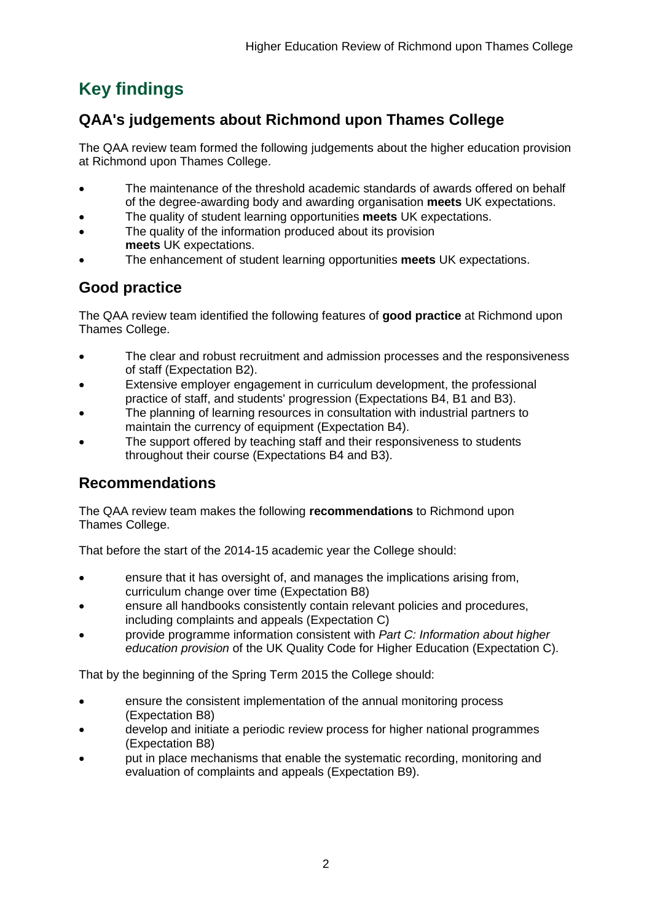## <span id="page-2-0"></span>**Key findings**

## <span id="page-2-1"></span>**QAA's judgements about Richmond upon Thames College**

The QAA review team formed the following judgements about the higher education provision at Richmond upon Thames College.

- The maintenance of the threshold academic standards of awards offered on behalf of the degree-awarding body and awarding organisation **meets** UK expectations.
- The quality of student learning opportunities **meets** UK expectations.
- The quality of the information produced about its provision **meets** UK expectations.
- The enhancement of student learning opportunities **meets** UK expectations.

## <span id="page-2-2"></span>**Good practice**

The QAA review team identified the following features of **good practice** at Richmond upon Thames College.

- The clear and robust recruitment and admission processes and the responsiveness of staff (Expectation B2).
- Extensive employer engagement in curriculum development, the professional practice of staff, and students' progression (Expectations B4, B1 and B3).
- The planning of learning resources in consultation with industrial partners to maintain the currency of equipment (Expectation B4).
- The support offered by teaching staff and their responsiveness to students throughout their course (Expectations B4 and B3).

## <span id="page-2-3"></span>**Recommendations**

The QAA review team makes the following **recommendations** to Richmond upon Thames College.

That before the start of the 2014-15 academic year the College should:

- ensure that it has oversight of, and manages the implications arising from, curriculum change over time (Expectation B8)
- ensure all handbooks consistently contain relevant policies and procedures, including complaints and appeals (Expectation C)
- provide programme information consistent with *Part C: Information about higher education provision* of the UK Quality Code for Higher Education (Expectation C).

That by the beginning of the Spring Term 2015 the College should:

- ensure the consistent implementation of the annual monitoring process (Expectation B8)
- develop and initiate a periodic review process for higher national programmes (Expectation B8)
- <span id="page-2-4"></span> put in place mechanisms that enable the systematic recording, monitoring and evaluation of complaints and appeals (Expectation B9).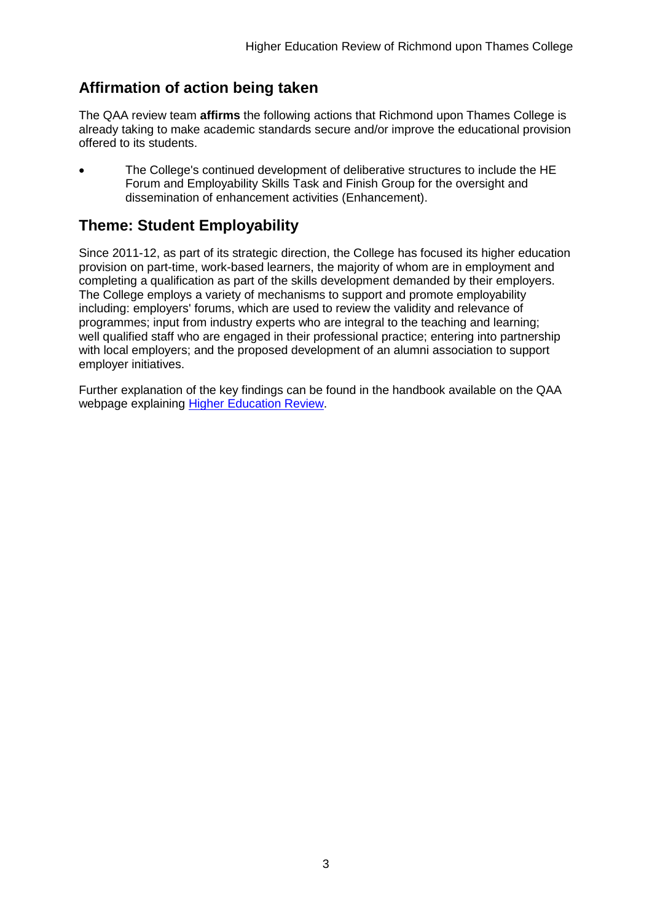## **Affirmation of action being taken**

The QAA review team **affirms** the following actions that Richmond upon Thames College is already taking to make academic standards secure and/or improve the educational provision offered to its students.

 The College's continued development of deliberative structures to include the HE Forum and Employability Skills Task and Finish Group for the oversight and dissemination of enhancement activities (Enhancement).

## <span id="page-3-0"></span>**Theme: Student Employability**

Since 2011-12, as part of its strategic direction, the College has focused its higher education provision on part-time, work-based learners, the majority of whom are in employment and completing a qualification as part of the skills development demanded by their employers. The College employs a variety of mechanisms to support and promote employability including: employers' forums, which are used to review the validity and relevance of programmes; input from industry experts who are integral to the teaching and learning; well qualified staff who are engaged in their professional practice; entering into partnership with local employers; and the proposed development of an alumni association to support employer initiatives.

<span id="page-3-1"></span>Further explanation of the key findings can be found in the handbook available on the QAA webpage explaining Higher [Education](http://www.qaa.ac.uk/InstitutionReports/types-of-review/higher-education-review) Review.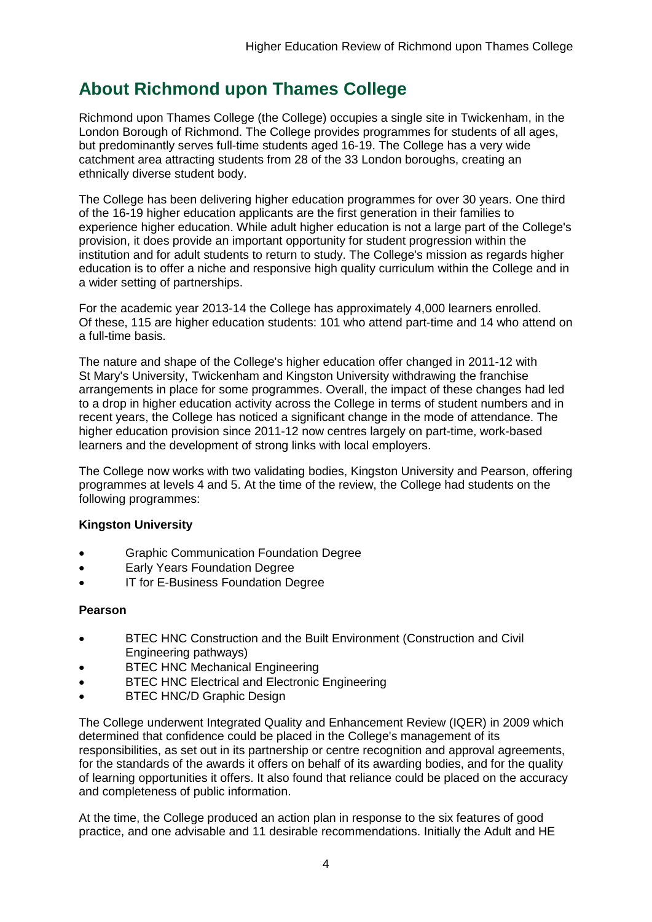## **About Richmond upon Thames College**

Richmond upon Thames College (the College) occupies a single site in Twickenham, in the London Borough of Richmond. The College provides programmes for students of all ages, but predominantly serves full-time students aged 16-19. The College has a very wide catchment area attracting students from 28 of the 33 London boroughs, creating an ethnically diverse student body.

The College has been delivering higher education programmes for over 30 years. One third of the 16-19 higher education applicants are the first generation in their families to experience higher education. While adult higher education is not a large part of the College's provision, it does provide an important opportunity for student progression within the institution and for adult students to return to study. The College's mission as regards higher education is to offer a niche and responsive high quality curriculum within the College and in a wider setting of partnerships.

For the academic year 2013-14 the College has approximately 4,000 learners enrolled. Of these, 115 are higher education students: 101 who attend part-time and 14 who attend on a full-time basis.

The nature and shape of the College's higher education offer changed in 2011-12 with St Mary's University, Twickenham and Kingston University withdrawing the franchise arrangements in place for some programmes. Overall, the impact of these changes had led to a drop in higher education activity across the College in terms of student numbers and in recent years, the College has noticed a significant change in the mode of attendance. The higher education provision since 2011-12 now centres largely on part-time, work-based learners and the development of strong links with local employers.

The College now works with two validating bodies, Kingston University and Pearson, offering programmes at levels 4 and 5. At the time of the review, the College had students on the following programmes:

#### **Kingston University**

- Graphic Communication Foundation Degree
- Early Years Foundation Degree
- IT for E-Business Foundation Degree

#### **Pearson**

- BTEC HNC Construction and the Built Environment (Construction and Civil Engineering pathways)
- BTEC HNC Mechanical Engineering
- BTEC HNC Electrical and Electronic Engineering
- BTEC HNC/D Graphic Design

The College underwent Integrated Quality and Enhancement Review (IQER) in 2009 which determined that confidence could be placed in the College's management of its responsibilities, as set out in its partnership or centre recognition and approval agreements, for the standards of the awards it offers on behalf of its awarding bodies, and for the quality of learning opportunities it offers. It also found that reliance could be placed on the accuracy and completeness of public information.

At the time, the College produced an action plan in response to the six features of good practice, and one advisable and 11 desirable recommendations. Initially the Adult and HE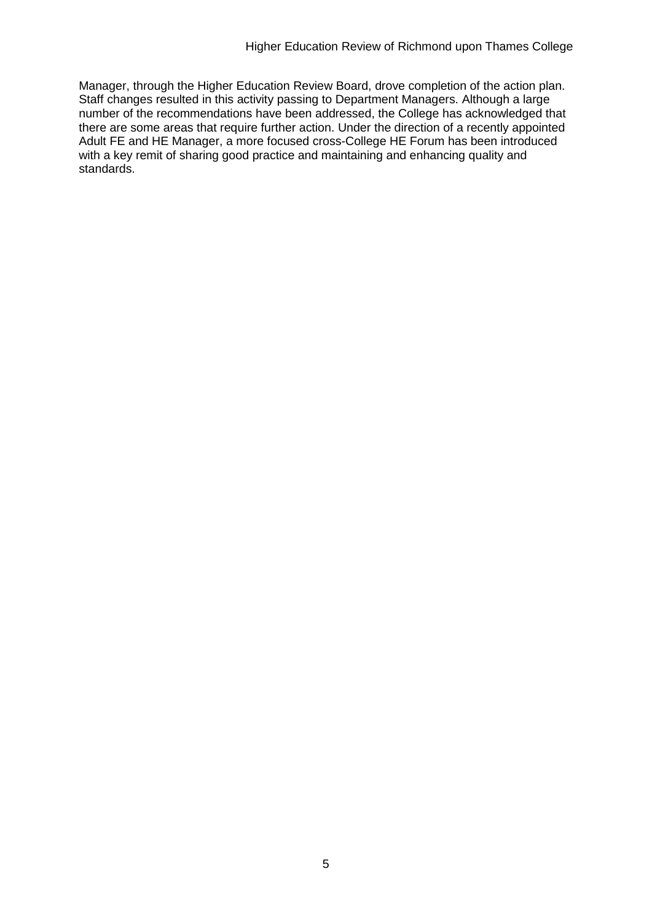Manager, through the Higher Education Review Board, drove completion of the action plan. Staff changes resulted in this activity passing to Department Managers. Although a large number of the recommendations have been addressed, the College has acknowledged that there are some areas that require further action. Under the direction of a recently appointed Adult FE and HE Manager, a more focused cross-College HE Forum has been introduced with a key remit of sharing good practice and maintaining and enhancing quality and standards.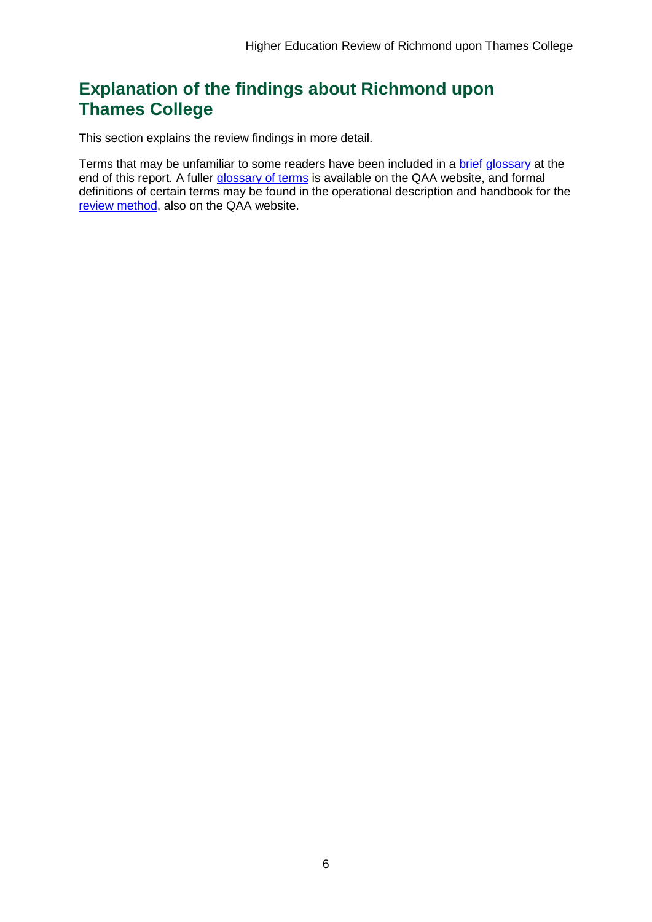## <span id="page-6-0"></span>**Explanation of the findings about Richmond upon Thames College**

This section explains the review findings in more detail.

Terms that may be unfamiliar to some readers have been included in a brief glossary at the end of this report. A fuller [glossary](http://www.qaa.ac.uk/AboutUs/glossary/Pages/default.aspx) of terms is available on the QAA website, and formal definitions of certain terms may be found in the operational description and handbook for the review [method,](http://www.qaa.ac.uk/InstitutionReports/types-of-review/higher-education-review/Pages/default.aspx) also on the QAA website.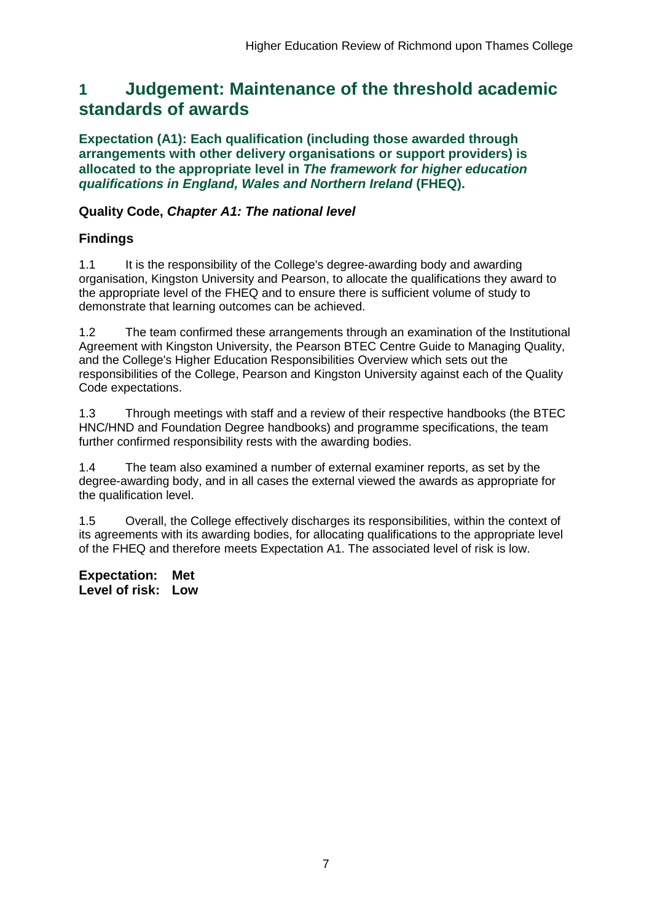## <span id="page-7-0"></span>**1 Judgement: Maintenance of the threshold academic standards of awards**

**Expectation (A1): Each qualification (including those awarded through arrangements with other delivery organisations or support providers) is allocated to the appropriate level in** *The framework for higher education qualifications in England, Wales and Northern Ireland* **(FHEQ).**

### **Quality Code,** *Chapter A1: The national level*

## **Findings**

1.1 It is the responsibility of the College's degree-awarding body and awarding organisation, Kingston University and Pearson, to allocate the qualifications they award to the appropriate level of the FHEQ and to ensure there is sufficient volume of study to demonstrate that learning outcomes can be achieved.

1.2 The team confirmed these arrangements through an examination of the Institutional Agreement with Kingston University, the Pearson BTEC Centre Guide to Managing Quality, and the College's Higher Education Responsibilities Overview which sets out the responsibilities of the College, Pearson and Kingston University against each of the Quality Code expectations.

1.3 Through meetings with staff and a review of their respective handbooks (the BTEC HNC/HND and Foundation Degree handbooks) and programme specifications, the team further confirmed responsibility rests with the awarding bodies.

1.4 The team also examined a number of external examiner reports, as set by the degree-awarding body, and in all cases the external viewed the awards as appropriate for the qualification level.

1.5 Overall, the College effectively discharges its responsibilities, within the context of its agreements with its awarding bodies, for allocating qualifications to the appropriate level of the FHEQ and therefore meets Expectation A1. The associated level of risk is low.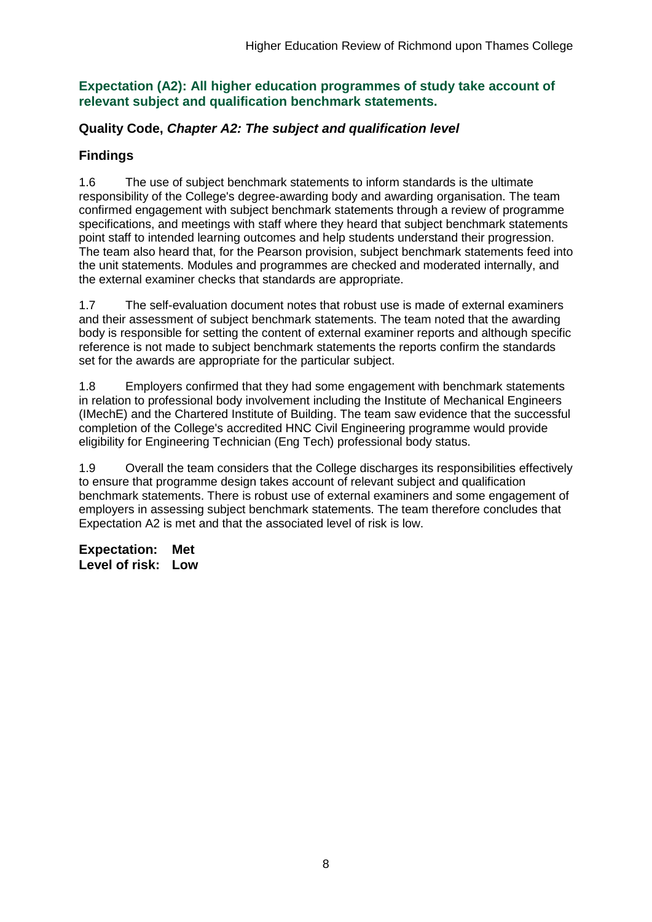### **Expectation (A2): All higher education programmes of study take account of relevant subject and qualification benchmark statements.**

### **Quality Code,** *Chapter A2: The subject and qualification level*

## **Findings**

1.6 The use of subject benchmark statements to inform standards is the ultimate responsibility of the College's degree-awarding body and awarding organisation. The team confirmed engagement with subject benchmark statements through a review of programme specifications, and meetings with staff where they heard that subject benchmark statements point staff to intended learning outcomes and help students understand their progression. The team also heard that, for the Pearson provision, subject benchmark statements feed into the unit statements. Modules and programmes are checked and moderated internally, and the external examiner checks that standards are appropriate.

1.7 The self-evaluation document notes that robust use is made of external examiners and their assessment of subject benchmark statements. The team noted that the awarding body is responsible for setting the content of external examiner reports and although specific reference is not made to subject benchmark statements the reports confirm the standards set for the awards are appropriate for the particular subject.

1.8 Employers confirmed that they had some engagement with benchmark statements in relation to professional body involvement including the Institute of Mechanical Engineers (IMechE) and the Chartered Institute of Building. The team saw evidence that the successful completion of the College's accredited HNC Civil Engineering programme would provide eligibility for Engineering Technician (Eng Tech) professional body status.

1.9 Overall the team considers that the College discharges its responsibilities effectively to ensure that programme design takes account of relevant subject and qualification benchmark statements. There is robust use of external examiners and some engagement of employers in assessing subject benchmark statements. The team therefore concludes that Expectation A2 is met and that the associated level of risk is low.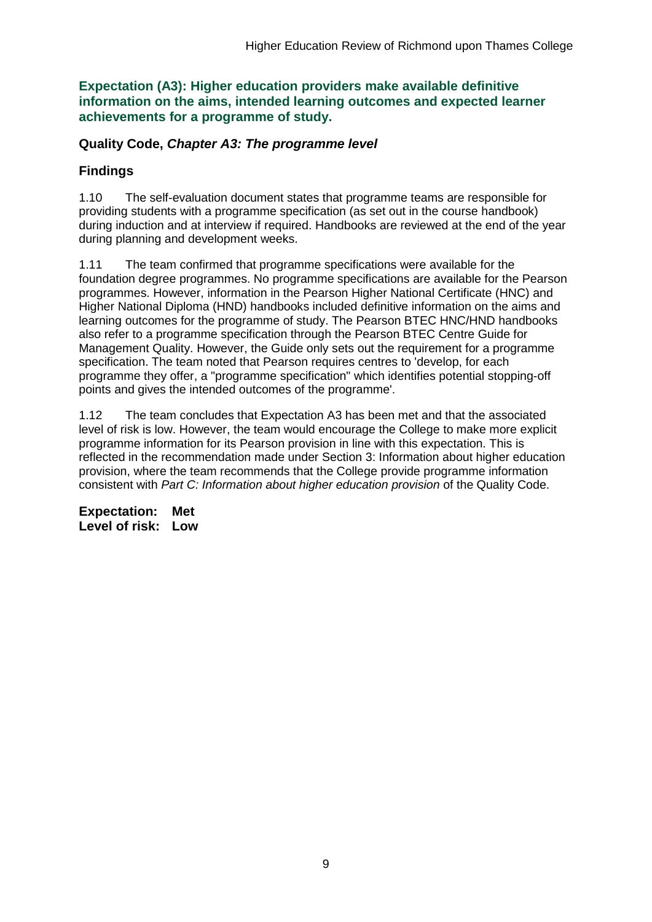**Expectation (A3): Higher education providers make available definitive information on the aims, intended learning outcomes and expected learner achievements for a programme of study.**

### **Quality Code,** *Chapter A3: The programme level*

## **Findings**

1.10 The self-evaluation document states that programme teams are responsible for providing students with a programme specification (as set out in the course handbook) during induction and at interview if required. Handbooks are reviewed at the end of the year during planning and development weeks.

1.11 The team confirmed that programme specifications were available for the foundation degree programmes. No programme specifications are available for the Pearson programmes. However, information in the Pearson Higher National Certificate (HNC) and Higher National Diploma (HND) handbooks included definitive information on the aims and learning outcomes for the programme of study. The Pearson BTEC HNC/HND handbooks also refer to a programme specification through the Pearson BTEC Centre Guide for Management Quality. However, the Guide only sets out the requirement for a programme specification. The team noted that Pearson requires centres to 'develop, for each programme they offer, a "programme specification" which identifies potential stopping-off points and gives the intended outcomes of the programme'.

1.12 The team concludes that Expectation A3 has been met and that the associated level of risk is low. However, the team would encourage the College to make more explicit programme information for its Pearson provision in line with this expectation. This is reflected in the recommendation made under Section 3: Information about higher education provision, where the team recommends that the College provide programme information consistent with *Part C: Information about higher education provision* of the Quality Code.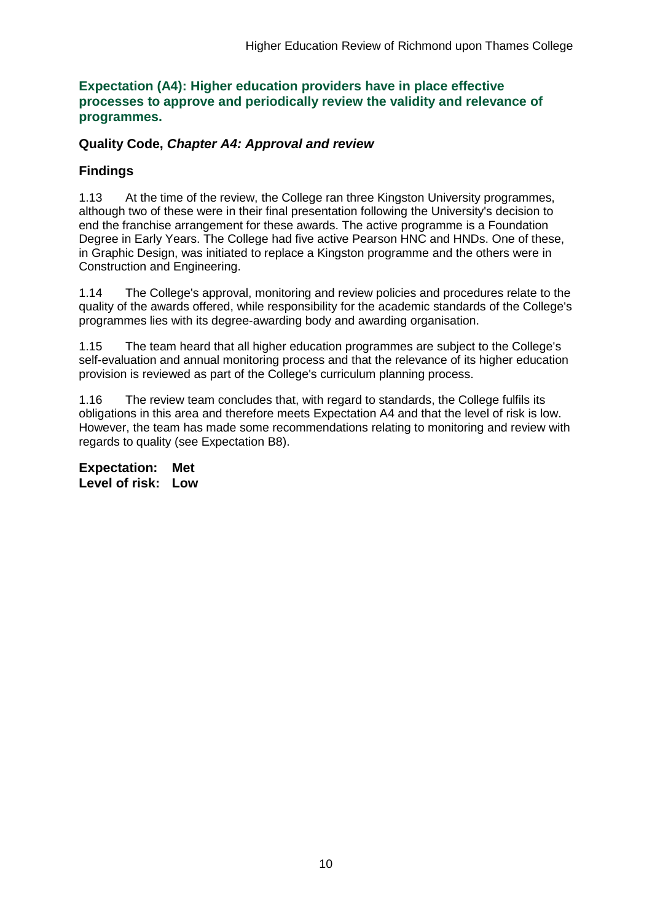#### **Expectation (A4): Higher education providers have in place effective processes to approve and periodically review the validity and relevance of programmes.**

### **Quality Code,** *Chapter A4: Approval and review*

### **Findings**

1.13 At the time of the review, the College ran three Kingston University programmes, although two of these were in their final presentation following the University's decision to end the franchise arrangement for these awards. The active programme is a Foundation Degree in Early Years. The College had five active Pearson HNC and HNDs. One of these, in Graphic Design, was initiated to replace a Kingston programme and the others were in Construction and Engineering.

1.14 The College's approval, monitoring and review policies and procedures relate to the quality of the awards offered, while responsibility for the academic standards of the College's programmes lies with its degree-awarding body and awarding organisation.

1.15 The team heard that all higher education programmes are subject to the College's self-evaluation and annual monitoring process and that the relevance of its higher education provision is reviewed as part of the College's curriculum planning process.

1.16 The review team concludes that, with regard to standards, the College fulfils its obligations in this area and therefore meets Expectation A4 and that the level of risk is low. However, the team has made some recommendations relating to monitoring and review with regards to quality (see Expectation B8).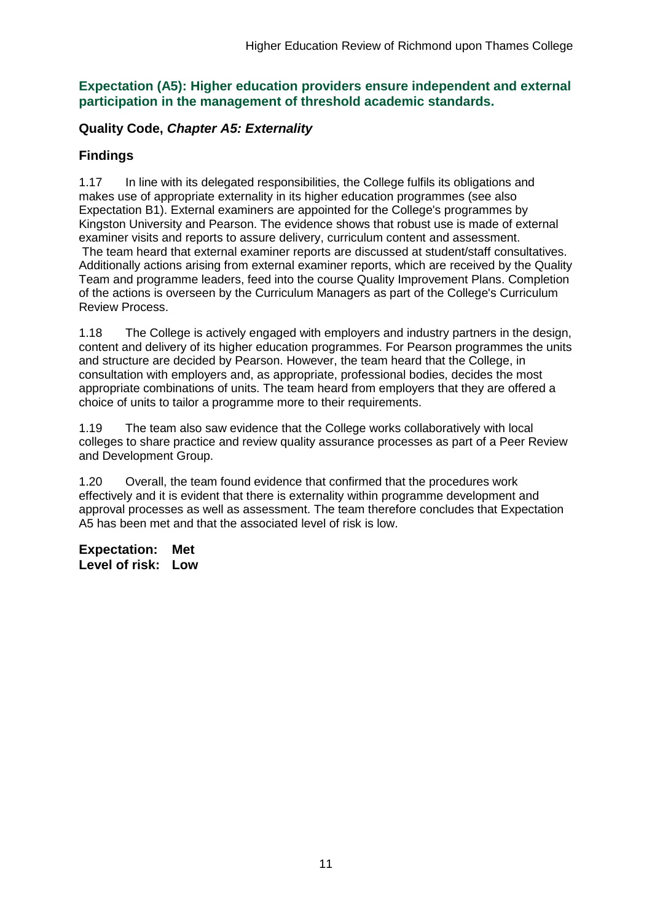#### **Expectation (A5): Higher education providers ensure independent and external participation in the management of threshold academic standards.**

### **Quality Code,** *Chapter A5: Externality*

### **Findings**

1.17 In line with its delegated responsibilities, the College fulfils its obligations and makes use of appropriate externality in its higher education programmes (see also Expectation B1). External examiners are appointed for the College's programmes by Kingston University and Pearson. The evidence shows that robust use is made of external examiner visits and reports to assure delivery, curriculum content and assessment.

The team heard that external examiner reports are discussed at student/staff consultatives. Additionally actions arising from external examiner reports, which are received by the Quality Team and programme leaders, feed into the course Quality Improvement Plans. Completion of the actions is overseen by the Curriculum Managers as part of the College's Curriculum Review Process.

1.18 The College is actively engaged with employers and industry partners in the design, content and delivery of its higher education programmes. For Pearson programmes the units and structure are decided by Pearson. However, the team heard that the College, in consultation with employers and, as appropriate, professional bodies, decides the most appropriate combinations of units. The team heard from employers that they are offered a choice of units to tailor a programme more to their requirements.

1.19 The team also saw evidence that the College works collaboratively with local colleges to share practice and review quality assurance processes as part of a Peer Review and Development Group.

1.20 Overall, the team found evidence that confirmed that the procedures work effectively and it is evident that there is externality within programme development and approval processes as well as assessment. The team therefore concludes that Expectation A5 has been met and that the associated level of risk is low.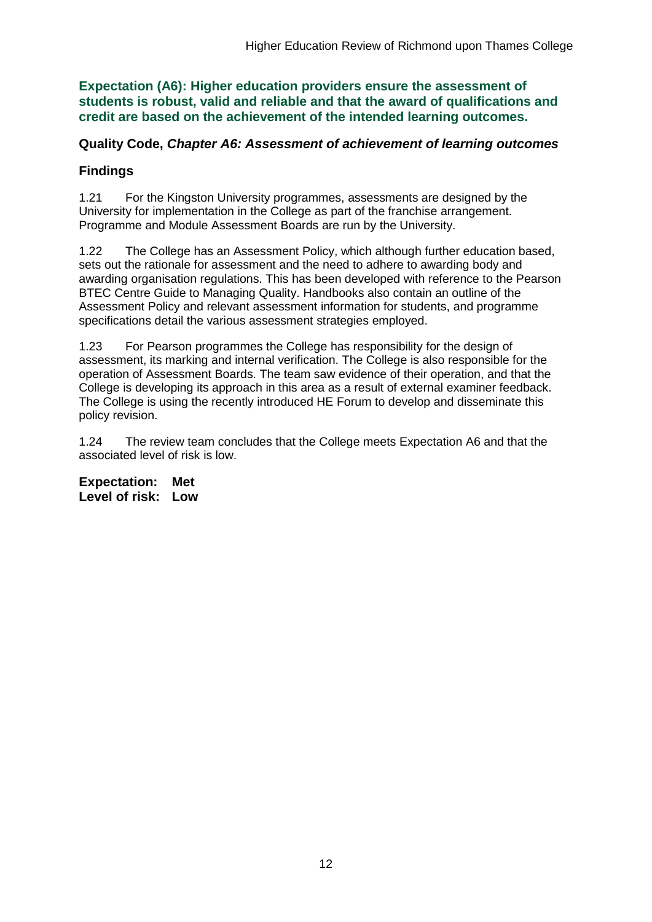**Expectation (A6): Higher education providers ensure the assessment of students is robust, valid and reliable and that the award of qualifications and credit are based on the achievement of the intended learning outcomes.**

### **Quality Code,** *Chapter A6: Assessment of achievement of learning outcomes*

### **Findings**

1.21 For the Kingston University programmes, assessments are designed by the University for implementation in the College as part of the franchise arrangement. Programme and Module Assessment Boards are run by the University.

1.22 The College has an Assessment Policy, which although further education based, sets out the rationale for assessment and the need to adhere to awarding body and awarding organisation regulations. This has been developed with reference to the Pearson BTEC Centre Guide to Managing Quality. Handbooks also contain an outline of the Assessment Policy and relevant assessment information for students, and programme specifications detail the various assessment strategies employed.

1.23 For Pearson programmes the College has responsibility for the design of assessment, its marking and internal verification. The College is also responsible for the operation of Assessment Boards. The team saw evidence of their operation, and that the College is developing its approach in this area as a result of external examiner feedback. The College is using the recently introduced HE Forum to develop and disseminate this policy revision.

1.24 The review team concludes that the College meets Expectation A6 and that the associated level of risk is low.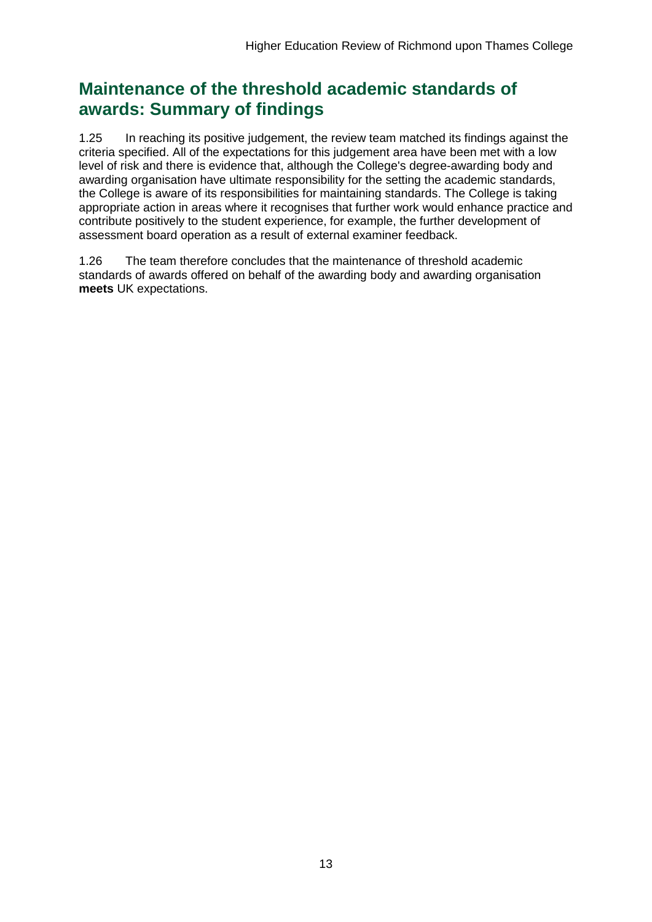## **Maintenance of the threshold academic standards of awards: Summary of findings**

1.25 In reaching its positive judgement, the review team matched its findings against the criteria specified. All of the expectations for this judgement area have been met with a low level of risk and there is evidence that, although the College's degree-awarding body and awarding organisation have ultimate responsibility for the setting the academic standards, the College is aware of its responsibilities for maintaining standards. The College is taking appropriate action in areas where it recognises that further work would enhance practice and contribute positively to the student experience, for example, the further development of assessment board operation as a result of external examiner feedback.

1.26 The team therefore concludes that the maintenance of threshold academic standards of awards offered on behalf of the awarding body and awarding organisation **meets** UK expectations.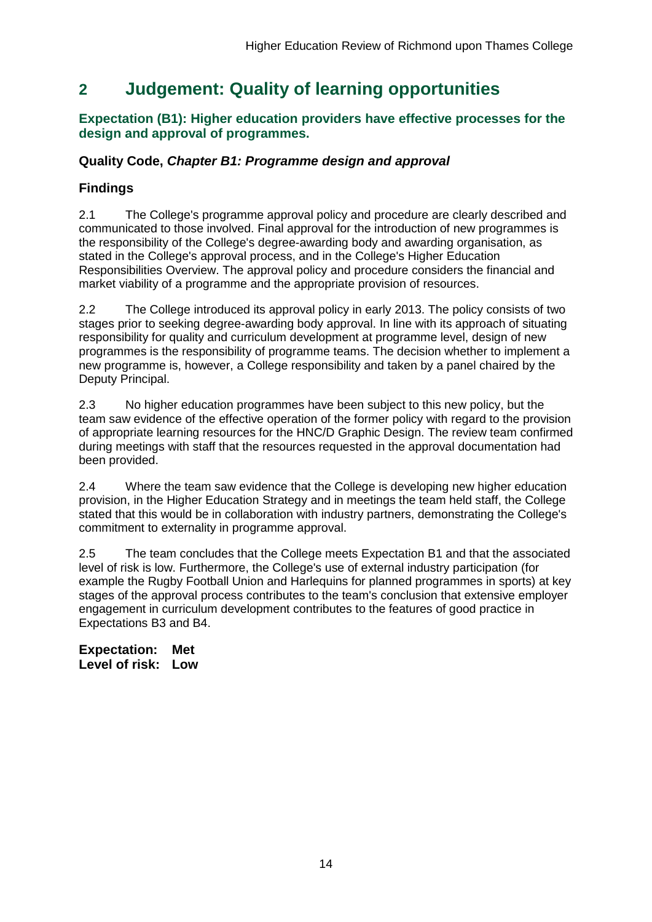## <span id="page-14-0"></span>**2 Judgement: Quality of learning opportunities**

#### **Expectation (B1): Higher education providers have effective processes for the design and approval of programmes.**

### **Quality Code,** *Chapter B1: Programme design and approval*

### **Findings**

2.1 The College's programme approval policy and procedure are clearly described and communicated to those involved. Final approval for the introduction of new programmes is the responsibility of the College's degree-awarding body and awarding organisation, as stated in the College's approval process, and in the College's Higher Education Responsibilities Overview. The approval policy and procedure considers the financial and market viability of a programme and the appropriate provision of resources.

2.2 The College introduced its approval policy in early 2013. The policy consists of two stages prior to seeking degree-awarding body approval. In line with its approach of situating responsibility for quality and curriculum development at programme level, design of new programmes is the responsibility of programme teams. The decision whether to implement a new programme is, however, a College responsibility and taken by a panel chaired by the Deputy Principal.

2.3 No higher education programmes have been subject to this new policy, but the team saw evidence of the effective operation of the former policy with regard to the provision of appropriate learning resources for the HNC/D Graphic Design. The review team confirmed during meetings with staff that the resources requested in the approval documentation had been provided.

2.4 Where the team saw evidence that the College is developing new higher education provision, in the Higher Education Strategy and in meetings the team held staff, the College stated that this would be in collaboration with industry partners, demonstrating the College's commitment to externality in programme approval.

2.5 The team concludes that the College meets Expectation B1 and that the associated level of risk is low. Furthermore, the College's use of external industry participation (for example the Rugby Football Union and Harlequins for planned programmes in sports) at key stages of the approval process contributes to the team's conclusion that extensive employer engagement in curriculum development contributes to the features of good practice in Expectations B3 and B4.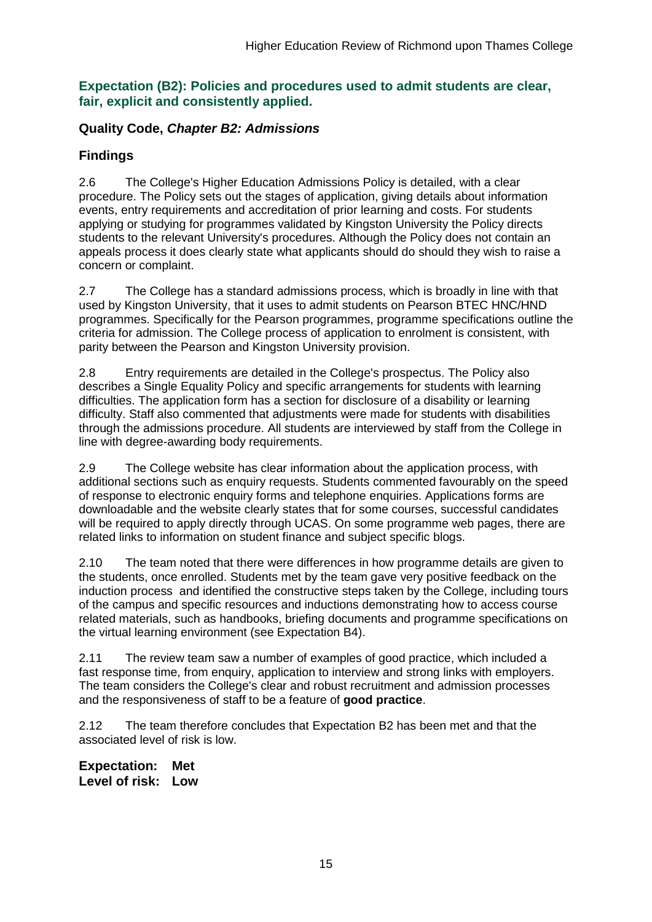#### **Expectation (B2): Policies and procedures used to admit students are clear, fair, explicit and consistently applied.**

### **Quality Code,** *Chapter B2: Admissions*

## **Findings**

2.6 The College's Higher Education Admissions Policy is detailed, with a clear procedure. The Policy sets out the stages of application, giving details about information events, entry requirements and accreditation of prior learning and costs. For students applying or studying for programmes validated by Kingston University the Policy directs students to the relevant University's procedures. Although the Policy does not contain an appeals process it does clearly state what applicants should do should they wish to raise a concern or complaint.

2.7 The College has a standard admissions process, which is broadly in line with that used by Kingston University, that it uses to admit students on Pearson BTEC HNC/HND programmes. Specifically for the Pearson programmes, programme specifications outline the criteria for admission. The College process of application to enrolment is consistent, with parity between the Pearson and Kingston University provision.

2.8 Entry requirements are detailed in the College's prospectus. The Policy also describes a Single Equality Policy and specific arrangements for students with learning difficulties. The application form has a section for disclosure of a disability or learning difficulty. Staff also commented that adjustments were made for students with disabilities through the admissions procedure. All students are interviewed by staff from the College in line with degree-awarding body requirements.

2.9 The College website has clear information about the application process, with additional sections such as enquiry requests. Students commented favourably on the speed of response to electronic enquiry forms and telephone enquiries. Applications forms are downloadable and the website clearly states that for some courses, successful candidates will be required to apply directly through UCAS. On some programme web pages, there are related links to information on student finance and subject specific blogs.

2.10 The team noted that there were differences in how programme details are given to the students, once enrolled. Students met by the team gave very positive feedback on the induction process and identified the constructive steps taken by the College, including tours of the campus and specific resources and inductions demonstrating how to access course related materials, such as handbooks, briefing documents and programme specifications on the virtual learning environment (see Expectation B4).

2.11 The review team saw a number of examples of good practice, which included a fast response time, from enquiry, application to interview and strong links with employers. The team considers the College's clear and robust recruitment and admission processes and the responsiveness of staff to be a feature of **good practice**.

2.12 The team therefore concludes that Expectation B2 has been met and that the associated level of risk is low.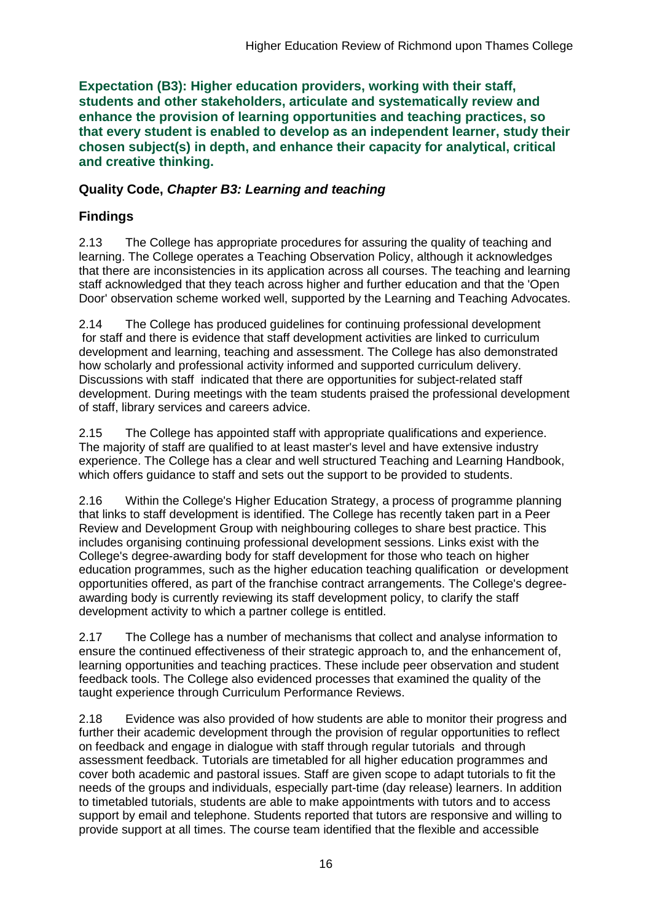**Expectation (B3): Higher education providers, working with their staff, students and other stakeholders, articulate and systematically review and enhance the provision of learning opportunities and teaching practices, so that every student is enabled to develop as an independent learner, study their chosen subject(s) in depth, and enhance their capacity for analytical, critical and creative thinking.**

### **Quality Code,** *Chapter B3: Learning and teaching*

## **Findings**

2.13 The College has appropriate procedures for assuring the quality of teaching and learning. The College operates a Teaching Observation Policy, although it acknowledges that there are inconsistencies in its application across all courses. The teaching and learning staff acknowledged that they teach across higher and further education and that the 'Open Door' observation scheme worked well, supported by the Learning and Teaching Advocates.

2.14 The College has produced guidelines for continuing professional development for staff and there is evidence that staff development activities are linked to curriculum development and learning, teaching and assessment. The College has also demonstrated how scholarly and professional activity informed and supported curriculum delivery. Discussions with staff indicated that there are opportunities for subject-related staff development. During meetings with the team students praised the professional development of staff, library services and careers advice.

2.15 The College has appointed staff with appropriate qualifications and experience. The majority of staff are qualified to at least master's level and have extensive industry experience. The College has a clear and well structured Teaching and Learning Handbook, which offers guidance to staff and sets out the support to be provided to students.

2.16 Within the College's Higher Education Strategy, a process of programme planning that links to staff development is identified. The College has recently taken part in a Peer Review and Development Group with neighbouring colleges to share best practice. This includes organising continuing professional development sessions. Links exist with the College's degree-awarding body for staff development for those who teach on higher education programmes, such as the higher education teaching qualification or development opportunities offered, as part of the franchise contract arrangements. The College's degreeawarding body is currently reviewing its staff development policy, to clarify the staff development activity to which a partner college is entitled.

2.17 The College has a number of mechanisms that collect and analyse information to ensure the continued effectiveness of their strategic approach to, and the enhancement of, learning opportunities and teaching practices. These include peer observation and student feedback tools. The College also evidenced processes that examined the quality of the taught experience through Curriculum Performance Reviews.

2.18 Evidence was also provided of how students are able to monitor their progress and further their academic development through the provision of regular opportunities to reflect on feedback and engage in dialogue with staff through regular tutorials and through assessment feedback. Tutorials are timetabled for all higher education programmes and cover both academic and pastoral issues. Staff are given scope to adapt tutorials to fit the needs of the groups and individuals, especially part-time (day release) learners. In addition to timetabled tutorials, students are able to make appointments with tutors and to access support by email and telephone. Students reported that tutors are responsive and willing to provide support at all times. The course team identified that the flexible and accessible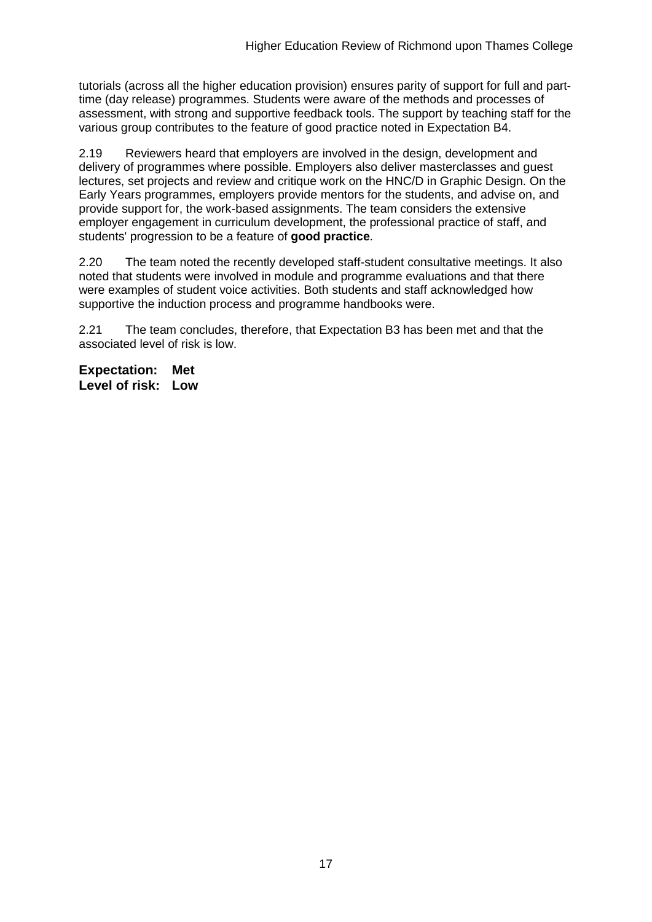tutorials (across all the higher education provision) ensures parity of support for full and parttime (day release) programmes. Students were aware of the methods and processes of assessment, with strong and supportive feedback tools. The support by teaching staff for the various group contributes to the feature of good practice noted in Expectation B4.

2.19 Reviewers heard that employers are involved in the design, development and delivery of programmes where possible. Employers also deliver masterclasses and guest lectures, set projects and review and critique work on the HNC/D in Graphic Design. On the Early Years programmes, employers provide mentors for the students, and advise on, and provide support for, the work-based assignments. The team considers the extensive employer engagement in curriculum development, the professional practice of staff, and students' progression to be a feature of **good practice**.

2.20 The team noted the recently developed staff-student consultative meetings. It also noted that students were involved in module and programme evaluations and that there were examples of student voice activities. Both students and staff acknowledged how supportive the induction process and programme handbooks were.

2.21 The team concludes, therefore, that Expectation B3 has been met and that the associated level of risk is low.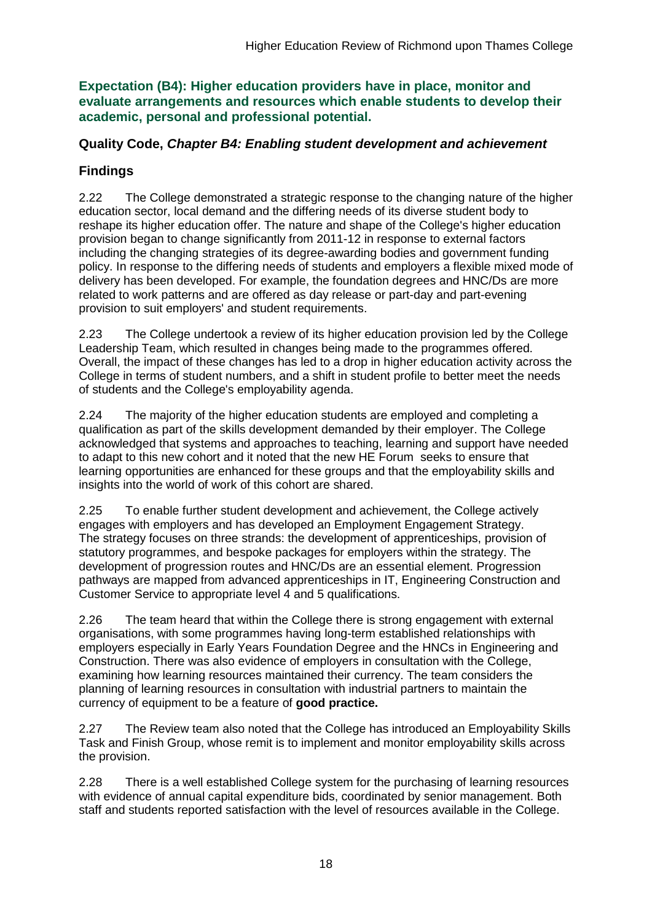**Expectation (B4): Higher education providers have in place, monitor and evaluate arrangements and resources which enable students to develop their academic, personal and professional potential.**

### **Quality Code,** *Chapter B4: Enabling student development and achievement*

## **Findings**

2.22 The College demonstrated a strategic response to the changing nature of the higher education sector, local demand and the differing needs of its diverse student body to reshape its higher education offer. The nature and shape of the College's higher education provision began to change significantly from 2011-12 in response to external factors including the changing strategies of its degree-awarding bodies and government funding policy. In response to the differing needs of students and employers a flexible mixed mode of delivery has been developed. For example, the foundation degrees and HNC/Ds are more related to work patterns and are offered as day release or part-day and part-evening provision to suit employers' and student requirements.

2.23 The College undertook a review of its higher education provision led by the College Leadership Team, which resulted in changes being made to the programmes offered. Overall, the impact of these changes has led to a drop in higher education activity across the College in terms of student numbers, and a shift in student profile to better meet the needs of students and the College's employability agenda.

2.24 The majority of the higher education students are employed and completing a qualification as part of the skills development demanded by their employer. The College acknowledged that systems and approaches to teaching, learning and support have needed to adapt to this new cohort and it noted that the new HE Forum seeks to ensure that learning opportunities are enhanced for these groups and that the employability skills and insights into the world of work of this cohort are shared.

2.25 To enable further student development and achievement, the College actively engages with employers and has developed an Employment Engagement Strategy. The strategy focuses on three strands: the development of apprenticeships, provision of statutory programmes, and bespoke packages for employers within the strategy. The development of progression routes and HNC/Ds are an essential element. Progression pathways are mapped from advanced apprenticeships in IT, Engineering Construction and Customer Service to appropriate level 4 and 5 qualifications.

2.26 The team heard that within the College there is strong engagement with external organisations, with some programmes having long-term established relationships with employers especially in Early Years Foundation Degree and the HNCs in Engineering and Construction. There was also evidence of employers in consultation with the College, examining how learning resources maintained their currency. The team considers the planning of learning resources in consultation with industrial partners to maintain the currency of equipment to be a feature of **good practice.**

2.27 The Review team also noted that the College has introduced an Employability Skills Task and Finish Group, whose remit is to implement and monitor employability skills across the provision.

2.28 There is a well established College system for the purchasing of learning resources with evidence of annual capital expenditure bids, coordinated by senior management. Both staff and students reported satisfaction with the level of resources available in the College.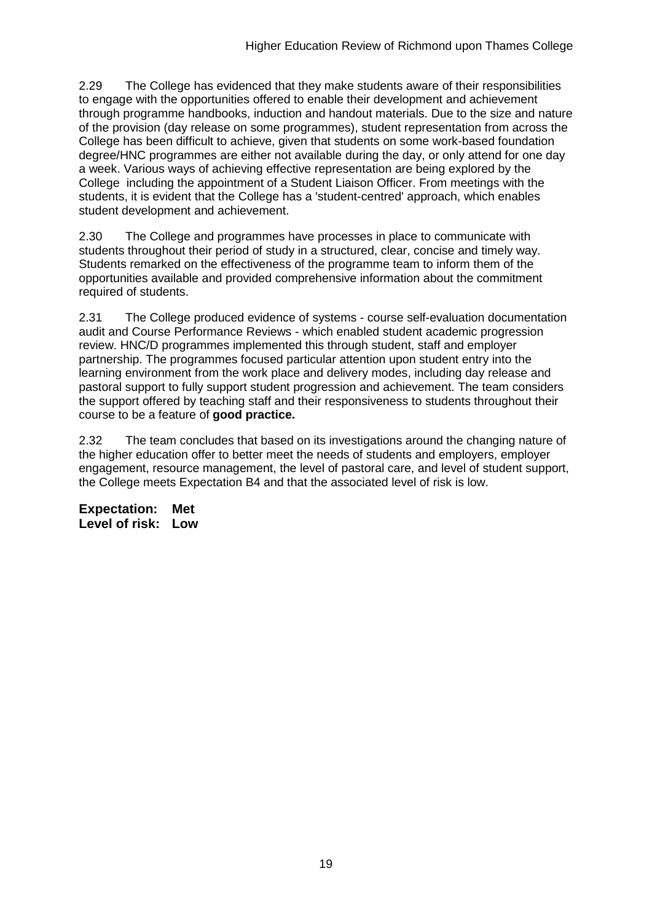2.29 The College has evidenced that they make students aware of their responsibilities to engage with the opportunities offered to enable their development and achievement through programme handbooks, induction and handout materials. Due to the size and nature of the provision (day release on some programmes), student representation from across the College has been difficult to achieve, given that students on some work-based foundation degree/HNC programmes are either not available during the day, or only attend for one day a week. Various ways of achieving effective representation are being explored by the College including the appointment of a Student Liaison Officer. From meetings with the students, it is evident that the College has a 'student-centred' approach, which enables student development and achievement.

2.30 The College and programmes have processes in place to communicate with students throughout their period of study in a structured, clear, concise and timely way. Students remarked on the effectiveness of the programme team to inform them of the opportunities available and provided comprehensive information about the commitment required of students.

2.31 The College produced evidence of systems - course self-evaluation documentation audit and Course Performance Reviews - which enabled student academic progression review. HNC/D programmes implemented this through student, staff and employer partnership. The programmes focused particular attention upon student entry into the learning environment from the work place and delivery modes, including day release and pastoral support to fully support student progression and achievement. The team considers the support offered by teaching staff and their responsiveness to students throughout their course to be a feature of **good practice.**

2.32 The team concludes that based on its investigations around the changing nature of the higher education offer to better meet the needs of students and employers, employer engagement, resource management, the level of pastoral care, and level of student support, the College meets Expectation B4 and that the associated level of risk is low.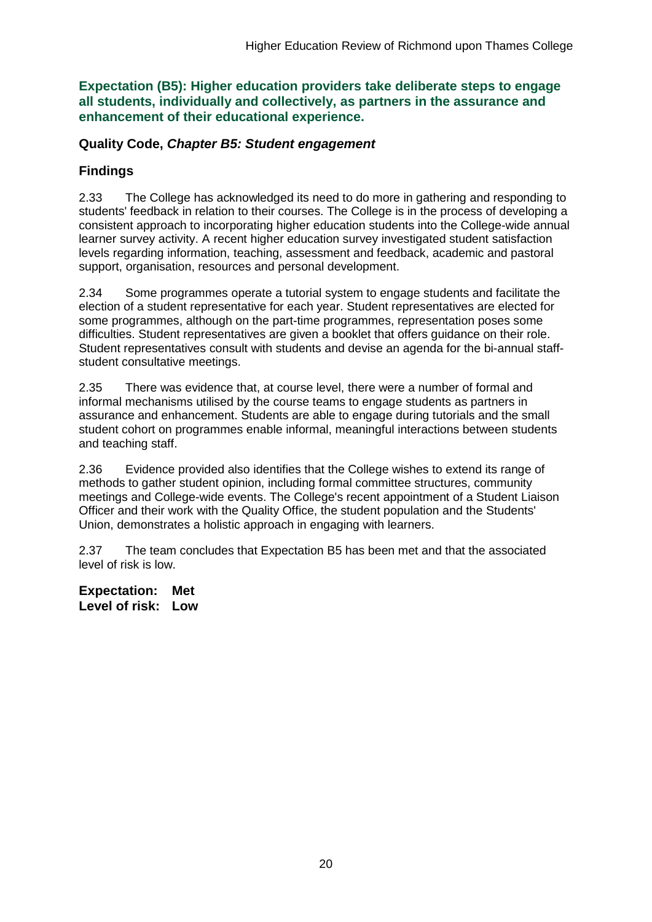**Expectation (B5): Higher education providers take deliberate steps to engage all students, individually and collectively, as partners in the assurance and enhancement of their educational experience.**

#### **Quality Code,** *Chapter B5: Student engagement*

### **Findings**

2.33 The College has acknowledged its need to do more in gathering and responding to students' feedback in relation to their courses. The College is in the process of developing a consistent approach to incorporating higher education students into the College-wide annual learner survey activity. A recent higher education survey investigated student satisfaction levels regarding information, teaching, assessment and feedback, academic and pastoral support, organisation, resources and personal development.

2.34 Some programmes operate a tutorial system to engage students and facilitate the election of a student representative for each year. Student representatives are elected for some programmes, although on the part-time programmes, representation poses some difficulties. Student representatives are given a booklet that offers guidance on their role. Student representatives consult with students and devise an agenda for the bi-annual staffstudent consultative meetings.

2.35 There was evidence that, at course level, there were a number of formal and informal mechanisms utilised by the course teams to engage students as partners in assurance and enhancement. Students are able to engage during tutorials and the small student cohort on programmes enable informal, meaningful interactions between students and teaching staff.

2.36 Evidence provided also identifies that the College wishes to extend its range of methods to gather student opinion, including formal committee structures, community meetings and College-wide events. The College's recent appointment of a Student Liaison Officer and their work with the Quality Office, the student population and the Students' Union, demonstrates a holistic approach in engaging with learners.

2.37 The team concludes that Expectation B5 has been met and that the associated level of risk is low.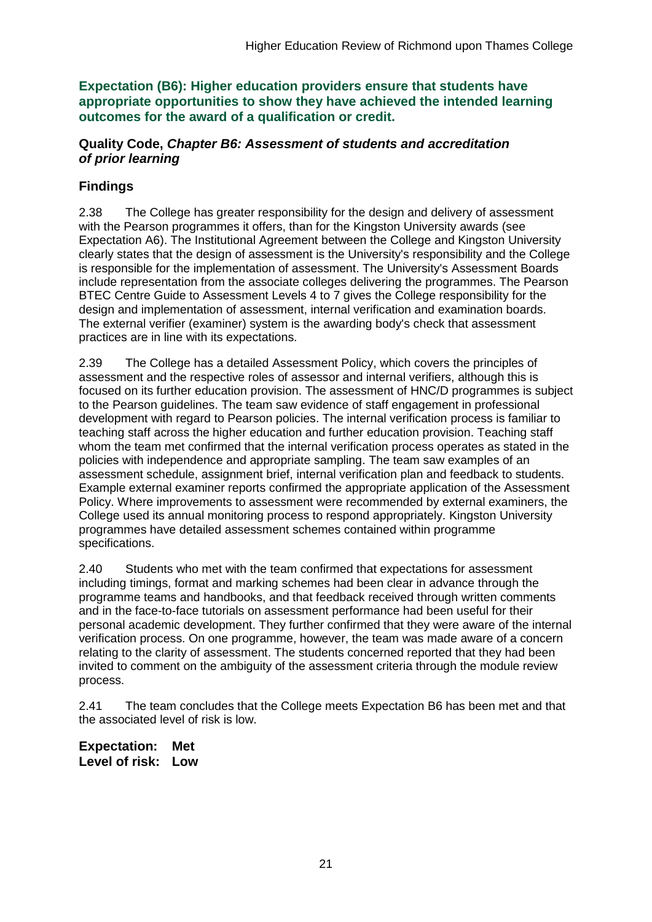**Expectation (B6): Higher education providers ensure that students have appropriate opportunities to show they have achieved the intended learning outcomes for the award of a qualification or credit.**

#### **Quality Code,** *Chapter B6: Assessment of students and accreditation of prior learning*

### **Findings**

2.38 The College has greater responsibility for the design and delivery of assessment with the Pearson programmes it offers, than for the Kingston University awards (see Expectation A6). The Institutional Agreement between the College and Kingston University clearly states that the design of assessment is the University's responsibility and the College is responsible for the implementation of assessment. The University's Assessment Boards include representation from the associate colleges delivering the programmes. The Pearson BTEC Centre Guide to Assessment Levels 4 to 7 gives the College responsibility for the design and implementation of assessment, internal verification and examination boards. The external verifier (examiner) system is the awarding body's check that assessment practices are in line with its expectations.

2.39 The College has a detailed Assessment Policy, which covers the principles of assessment and the respective roles of assessor and internal verifiers, although this is focused on its further education provision. The assessment of HNC/D programmes is subject to the Pearson guidelines. The team saw evidence of staff engagement in professional development with regard to Pearson policies. The internal verification process is familiar to teaching staff across the higher education and further education provision. Teaching staff whom the team met confirmed that the internal verification process operates as stated in the policies with independence and appropriate sampling. The team saw examples of an assessment schedule, assignment brief, internal verification plan and feedback to students. Example external examiner reports confirmed the appropriate application of the Assessment Policy. Where improvements to assessment were recommended by external examiners, the College used its annual monitoring process to respond appropriately. Kingston University programmes have detailed assessment schemes contained within programme specifications.

2.40 Students who met with the team confirmed that expectations for assessment including timings, format and marking schemes had been clear in advance through the programme teams and handbooks, and that feedback received through written comments and in the face-to-face tutorials on assessment performance had been useful for their personal academic development. They further confirmed that they were aware of the internal verification process. On one programme, however, the team was made aware of a concern relating to the clarity of assessment. The students concerned reported that they had been invited to comment on the ambiguity of the assessment criteria through the module review process.

2.41 The team concludes that the College meets Expectation B6 has been met and that the associated level of risk is low.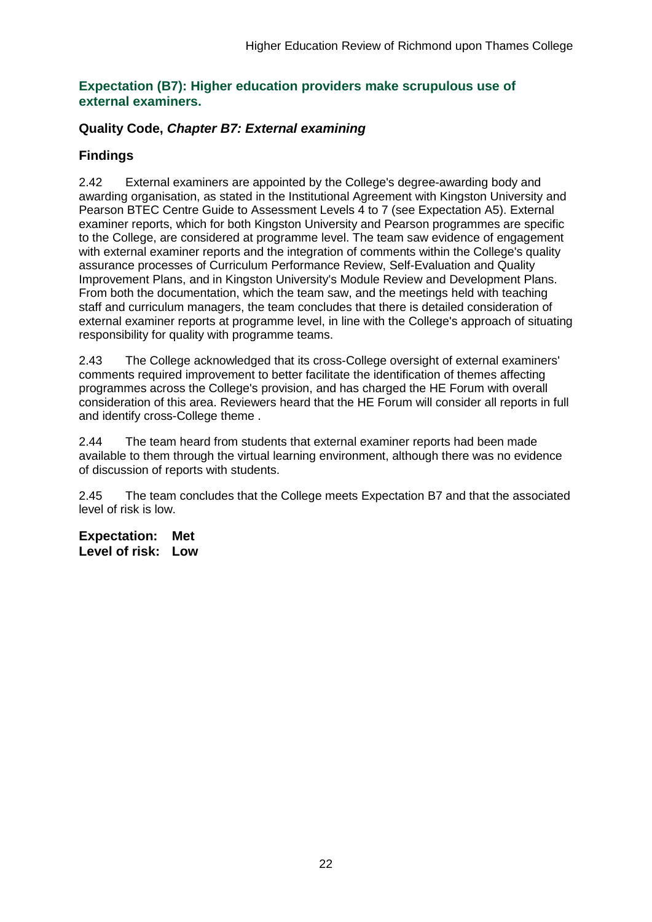#### **Expectation (B7): Higher education providers make scrupulous use of external examiners.**

#### **Quality Code,** *Chapter B7: External examining*

### **Findings**

2.42 External examiners are appointed by the College's degree-awarding body and awarding organisation, as stated in the Institutional Agreement with Kingston University and Pearson BTEC Centre Guide to Assessment Levels 4 to 7 (see Expectation A5). External examiner reports, which for both Kingston University and Pearson programmes are specific to the College, are considered at programme level. The team saw evidence of engagement with external examiner reports and the integration of comments within the College's quality assurance processes of Curriculum Performance Review, Self-Evaluation and Quality Improvement Plans, and in Kingston University's Module Review and Development Plans. From both the documentation, which the team saw, and the meetings held with teaching staff and curriculum managers, the team concludes that there is detailed consideration of external examiner reports at programme level, in line with the College's approach of situating responsibility for quality with programme teams.

2.43 The College acknowledged that its cross-College oversight of external examiners' comments required improvement to better facilitate the identification of themes affecting programmes across the College's provision, and has charged the HE Forum with overall consideration of this area. Reviewers heard that the HE Forum will consider all reports in full and identify cross-College theme .

2.44 The team heard from students that external examiner reports had been made available to them through the virtual learning environment, although there was no evidence of discussion of reports with students.

2.45 The team concludes that the College meets Expectation B7 and that the associated level of risk is low.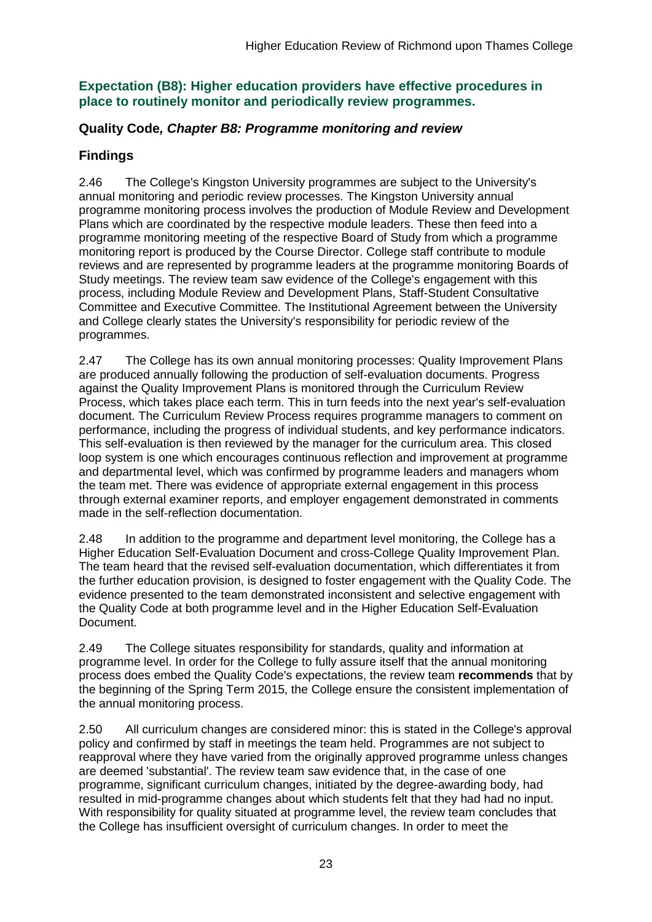### **Expectation (B8): Higher education providers have effective procedures in place to routinely monitor and periodically review programmes.**

### **Quality Code***, Chapter B8: Programme monitoring and review*

## **Findings**

2.46 The College's Kingston University programmes are subject to the University's annual monitoring and periodic review processes. The Kingston University annual programme monitoring process involves the production of Module Review and Development Plans which are coordinated by the respective module leaders. These then feed into a programme monitoring meeting of the respective Board of Study from which a programme monitoring report is produced by the Course Director. College staff contribute to module reviews and are represented by programme leaders at the programme monitoring Boards of Study meetings. The review team saw evidence of the College's engagement with this process, including Module Review and Development Plans, Staff-Student Consultative Committee and Executive Committee. The Institutional Agreement between the University and College clearly states the University's responsibility for periodic review of the programmes.

2.47 The College has its own annual monitoring processes: Quality Improvement Plans are produced annually following the production of self-evaluation documents. Progress against the Quality Improvement Plans is monitored through the Curriculum Review Process, which takes place each term. This in turn feeds into the next year's self-evaluation document. The Curriculum Review Process requires programme managers to comment on performance, including the progress of individual students, and key performance indicators. This self-evaluation is then reviewed by the manager for the curriculum area. This closed loop system is one which encourages continuous reflection and improvement at programme and departmental level, which was confirmed by programme leaders and managers whom the team met. There was evidence of appropriate external engagement in this process through external examiner reports, and employer engagement demonstrated in comments made in the self-reflection documentation.

2.48 In addition to the programme and department level monitoring, the College has a Higher Education Self-Evaluation Document and cross-College Quality Improvement Plan. The team heard that the revised self-evaluation documentation, which differentiates it from the further education provision, is designed to foster engagement with the Quality Code. The evidence presented to the team demonstrated inconsistent and selective engagement with the Quality Code at both programme level and in the Higher Education Self-Evaluation Document.

2.49 The College situates responsibility for standards, quality and information at programme level. In order for the College to fully assure itself that the annual monitoring process does embed the Quality Code's expectations, the review team **recommends** that by the beginning of the Spring Term 2015, the College ensure the consistent implementation of the annual monitoring process.

2.50 All curriculum changes are considered minor: this is stated in the College's approval policy and confirmed by staff in meetings the team held. Programmes are not subject to reapproval where they have varied from the originally approved programme unless changes are deemed 'substantial'. The review team saw evidence that, in the case of one programme, significant curriculum changes, initiated by the degree-awarding body, had resulted in mid-programme changes about which students felt that they had had no input. With responsibility for quality situated at programme level, the review team concludes that the College has insufficient oversight of curriculum changes. In order to meet the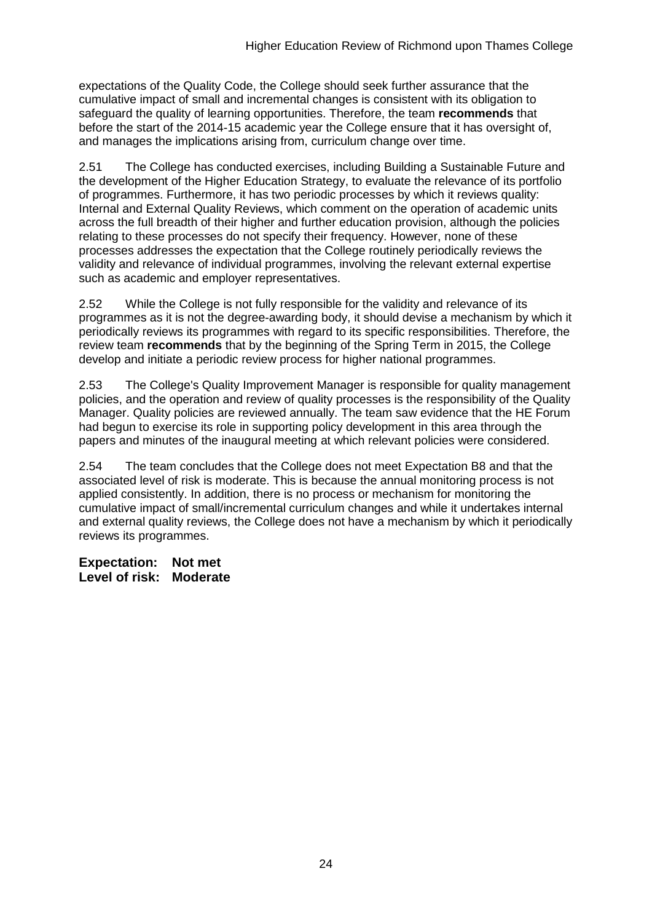expectations of the Quality Code, the College should seek further assurance that the cumulative impact of small and incremental changes is consistent with its obligation to safeguard the quality of learning opportunities. Therefore, the team **recommends** that before the start of the 2014-15 academic year the College ensure that it has oversight of, and manages the implications arising from, curriculum change over time.

2.51 The College has conducted exercises, including Building a Sustainable Future and the development of the Higher Education Strategy, to evaluate the relevance of its portfolio of programmes. Furthermore, it has two periodic processes by which it reviews quality: Internal and External Quality Reviews, which comment on the operation of academic units across the full breadth of their higher and further education provision, although the policies relating to these processes do not specify their frequency. However, none of these processes addresses the expectation that the College routinely periodically reviews the validity and relevance of individual programmes, involving the relevant external expertise such as academic and employer representatives.

2.52 While the College is not fully responsible for the validity and relevance of its programmes as it is not the degree-awarding body, it should devise a mechanism by which it periodically reviews its programmes with regard to its specific responsibilities. Therefore, the review team **recommends** that by the beginning of the Spring Term in 2015, the College develop and initiate a periodic review process for higher national programmes.

2.53 The College's Quality Improvement Manager is responsible for quality management policies, and the operation and review of quality processes is the responsibility of the Quality Manager. Quality policies are reviewed annually. The team saw evidence that the HE Forum had begun to exercise its role in supporting policy development in this area through the papers and minutes of the inaugural meeting at which relevant policies were considered.

2.54 The team concludes that the College does not meet Expectation B8 and that the associated level of risk is moderate. This is because the annual monitoring process is not applied consistently. In addition, there is no process or mechanism for monitoring the cumulative impact of small/incremental curriculum changes and while it undertakes internal and external quality reviews, the College does not have a mechanism by which it periodically reviews its programmes.

**Expectation: Not met Level of risk: Moderate**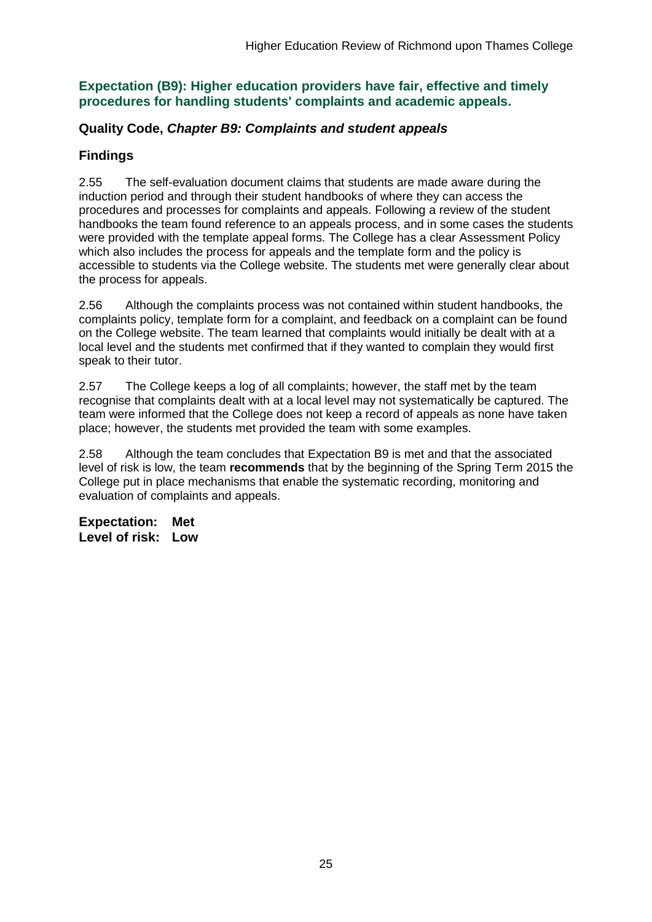#### **Expectation (B9): Higher education providers have fair, effective and timely procedures for handling students' complaints and academic appeals.**

#### **Quality Code,** *Chapter B9: Complaints and student appeals*

### **Findings**

2.55 The self-evaluation document claims that students are made aware during the induction period and through their student handbooks of where they can access the procedures and processes for complaints and appeals. Following a review of the student handbooks the team found reference to an appeals process, and in some cases the students were provided with the template appeal forms. The College has a clear Assessment Policy which also includes the process for appeals and the template form and the policy is accessible to students via the College website. The students met were generally clear about the process for appeals.

2.56 Although the complaints process was not contained within student handbooks, the complaints policy, template form for a complaint, and feedback on a complaint can be found on the College website. The team learned that complaints would initially be dealt with at a local level and the students met confirmed that if they wanted to complain they would first speak to their tutor.

2.57 The College keeps a log of all complaints; however, the staff met by the team recognise that complaints dealt with at a local level may not systematically be captured. The team were informed that the College does not keep a record of appeals as none have taken place; however, the students met provided the team with some examples.

2.58 Although the team concludes that Expectation B9 is met and that the associated level of risk is low, the team **recommends** that by the beginning of the Spring Term 2015 the College put in place mechanisms that enable the systematic recording, monitoring and evaluation of complaints and appeals.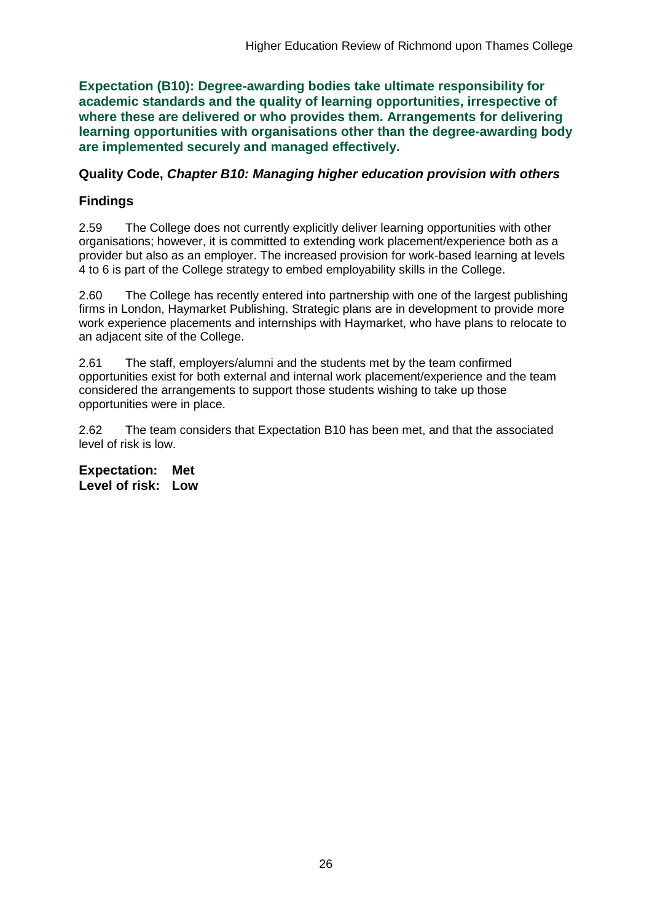**Expectation (B10): Degree-awarding bodies take ultimate responsibility for academic standards and the quality of learning opportunities, irrespective of where these are delivered or who provides them. Arrangements for delivering learning opportunities with organisations other than the degree-awarding body are implemented securely and managed effectively.**

#### **Quality Code,** *Chapter B10: Managing higher education provision with others*

### **Findings**

2.59 The College does not currently explicitly deliver learning opportunities with other organisations; however, it is committed to extending work placement/experience both as a provider but also as an employer. The increased provision for work-based learning at levels 4 to 6 is part of the College strategy to embed employability skills in the College.

2.60 The College has recently entered into partnership with one of the largest publishing firms in London, Haymarket Publishing. Strategic plans are in development to provide more work experience placements and internships with Haymarket, who have plans to relocate to an adjacent site of the College.

2.61 The staff, employers/alumni and the students met by the team confirmed opportunities exist for both external and internal work placement/experience and the team considered the arrangements to support those students wishing to take up those opportunities were in place.

2.62 The team considers that Expectation B10 has been met, and that the associated level of risk is low.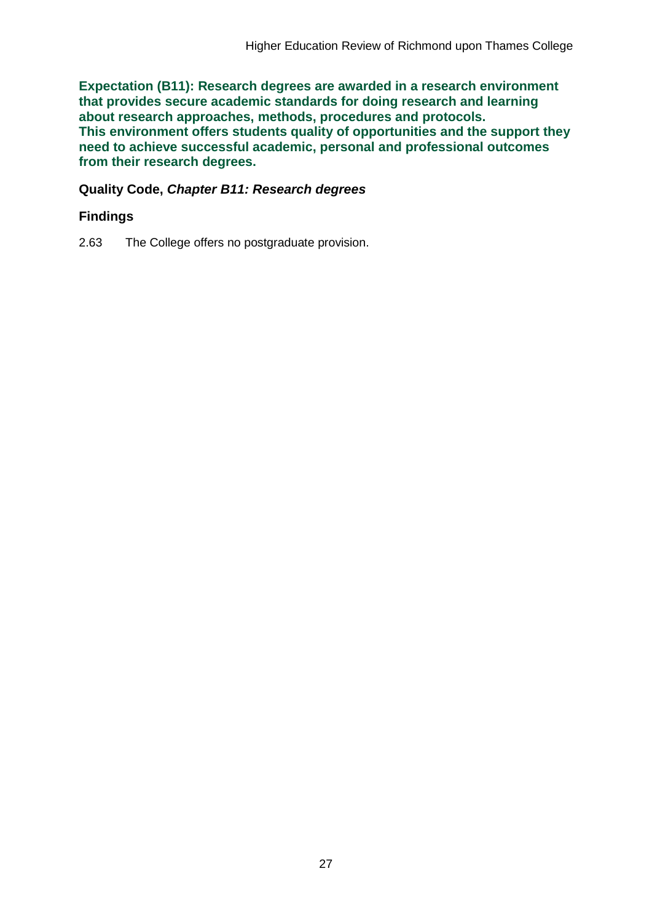**Expectation (B11): Research degrees are awarded in a research environment that provides secure academic standards for doing research and learning about research approaches, methods, procedures and protocols. This environment offers students quality of opportunities and the support they need to achieve successful academic, personal and professional outcomes from their research degrees.**

#### **Quality Code,** *Chapter B11: Research degrees*

### **Findings**

2.63 The College offers no postgraduate provision.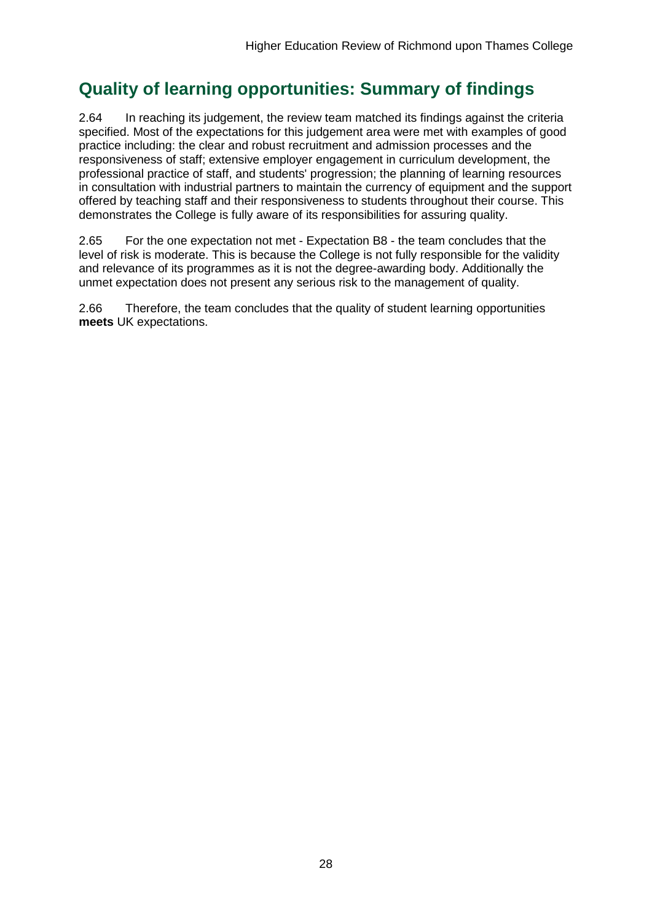## **Quality of learning opportunities: Summary of findings**

2.64 In reaching its judgement, the review team matched its findings against the criteria specified. Most of the expectations for this judgement area were met with examples of good practice including: the clear and robust recruitment and admission processes and the responsiveness of staff; extensive employer engagement in curriculum development, the professional practice of staff, and students' progression; the planning of learning resources in consultation with industrial partners to maintain the currency of equipment and the support offered by teaching staff and their responsiveness to students throughout their course. This demonstrates the College is fully aware of its responsibilities for assuring quality.

2.65 For the one expectation not met - Expectation B8 - the team concludes that the level of risk is moderate. This is because the College is not fully responsible for the validity and relevance of its programmes as it is not the degree-awarding body. Additionally the unmet expectation does not present any serious risk to the management of quality.

2.66 Therefore, the team concludes that the quality of student learning opportunities **meets** UK expectations.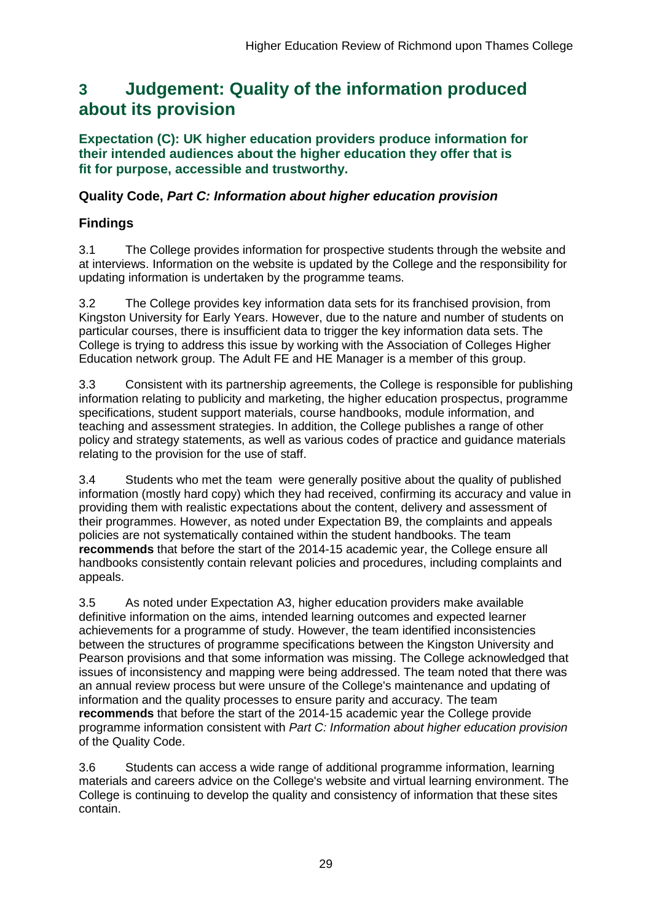## <span id="page-29-0"></span>**3 Judgement: Quality of the information produced about its provision**

**Expectation (C): UK higher education providers produce information for their intended audiences about the higher education they offer that is fit for purpose, accessible and trustworthy.**

### **Quality Code,** *Part C: Information about higher education provision*

## **Findings**

3.1 The College provides information for prospective students through the website and at interviews. Information on the website is updated by the College and the responsibility for updating information is undertaken by the programme teams.

3.2 The College provides key information data sets for its franchised provision, from Kingston University for Early Years. However, due to the nature and number of students on particular courses, there is insufficient data to trigger the key information data sets. The College is trying to address this issue by working with the Association of Colleges Higher Education network group. The Adult FE and HE Manager is a member of this group.

3.3 Consistent with its partnership agreements, the College is responsible for publishing information relating to publicity and marketing, the higher education prospectus, programme specifications, student support materials, course handbooks, module information, and teaching and assessment strategies. In addition, the College publishes a range of other policy and strategy statements, as well as various codes of practice and guidance materials relating to the provision for the use of staff.

3.4 Students who met the team were generally positive about the quality of published information (mostly hard copy) which they had received, confirming its accuracy and value in providing them with realistic expectations about the content, delivery and assessment of their programmes. However, as noted under Expectation B9, the complaints and appeals policies are not systematically contained within the student handbooks. The team **recommends** that before the start of the 2014-15 academic year, the College ensure all handbooks consistently contain relevant policies and procedures, including complaints and appeals.

3.5 As noted under Expectation A3, higher education providers make available definitive information on the aims, intended learning outcomes and expected learner achievements for a programme of study. However, the team identified inconsistencies between the structures of programme specifications between the Kingston University and Pearson provisions and that some information was missing. The College acknowledged that issues of inconsistency and mapping were being addressed. The team noted that there was an annual review process but were unsure of the College's maintenance and updating of information and the quality processes to ensure parity and accuracy. The team **recommends** that before the start of the 2014-15 academic year the College provide programme information consistent with *Part C: Information about higher education provision* of the Quality Code.

3.6 Students can access a wide range of additional programme information, learning materials and careers advice on the College's website and virtual learning environment. The College is continuing to develop the quality and consistency of information that these sites contain.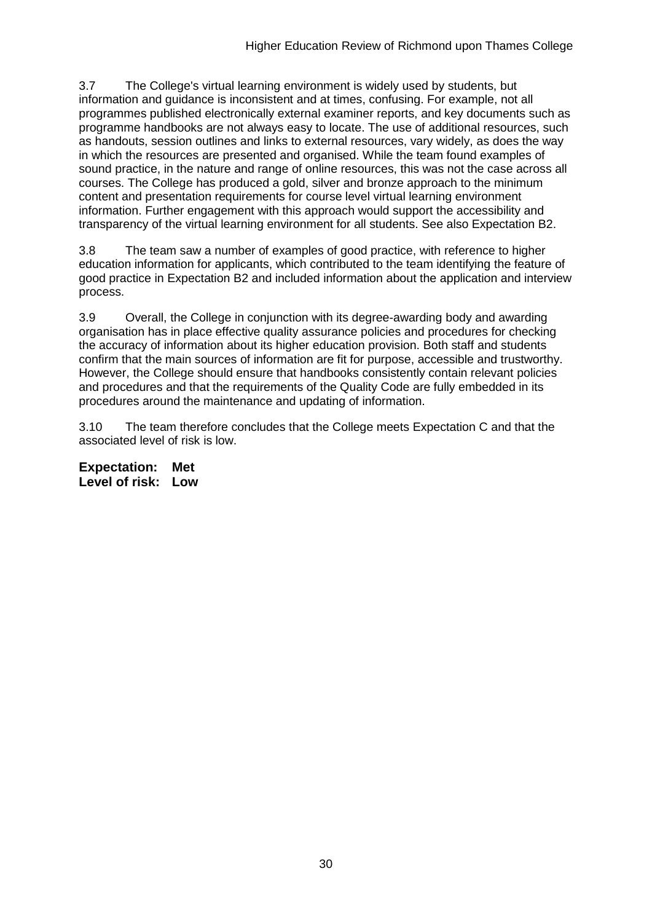3.7 The College's virtual learning environment is widely used by students, but information and guidance is inconsistent and at times, confusing. For example, not all programmes published electronically external examiner reports, and key documents such as programme handbooks are not always easy to locate. The use of additional resources, such as handouts, session outlines and links to external resources, vary widely, as does the way in which the resources are presented and organised. While the team found examples of sound practice, in the nature and range of online resources, this was not the case across all courses. The College has produced a gold, silver and bronze approach to the minimum content and presentation requirements for course level virtual learning environment information. Further engagement with this approach would support the accessibility and transparency of the virtual learning environment for all students. See also Expectation B2.

3.8 The team saw a number of examples of good practice, with reference to higher education information for applicants, which contributed to the team identifying the feature of good practice in Expectation B2 and included information about the application and interview process.

3.9 Overall, the College in conjunction with its degree-awarding body and awarding organisation has in place effective quality assurance policies and procedures for checking the accuracy of information about its higher education provision. Both staff and students confirm that the main sources of information are fit for purpose, accessible and trustworthy. However, the College should ensure that handbooks consistently contain relevant policies and procedures and that the requirements of the Quality Code are fully embedded in its procedures around the maintenance and updating of information.

3.10 The team therefore concludes that the College meets Expectation C and that the associated level of risk is low.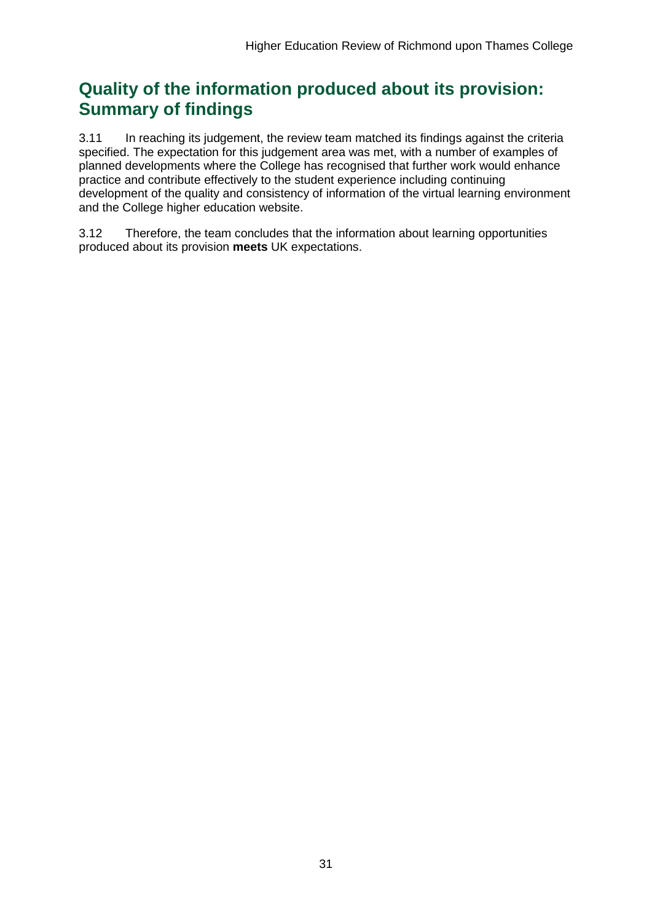## **Quality of the information produced about its provision: Summary of findings**

3.11 In reaching its judgement, the review team matched its findings against the criteria specified. The expectation for this judgement area was met, with a number of examples of planned developments where the College has recognised that further work would enhance practice and contribute effectively to the student experience including continuing development of the quality and consistency of information of the virtual learning environment and the College higher education website.

3.12 Therefore, the team concludes that the information about learning opportunities produced about its provision **meets** UK expectations.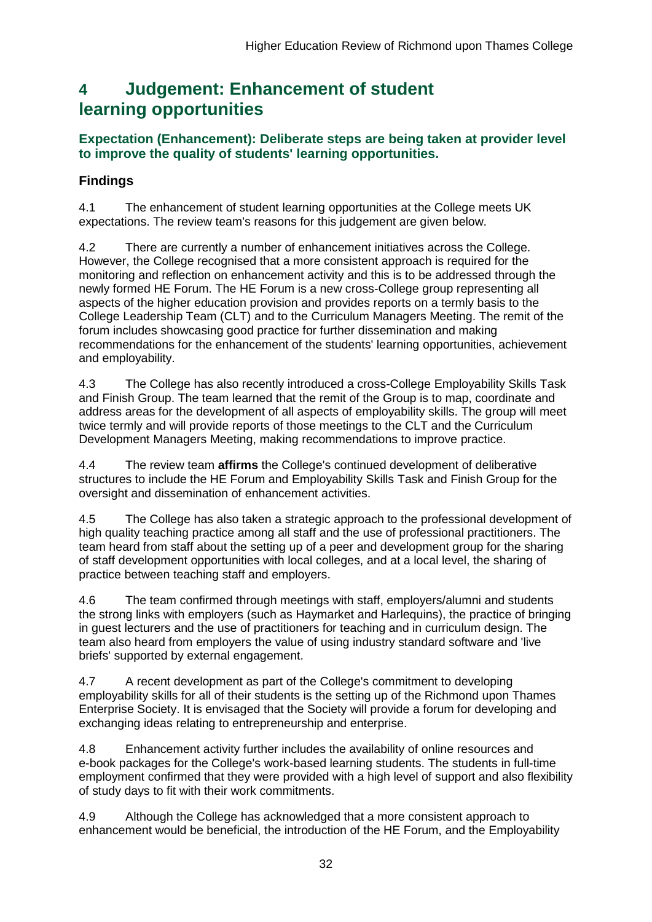## <span id="page-32-0"></span>**4 Judgement: Enhancement of student learning opportunities**

### **Expectation (Enhancement): Deliberate steps are being taken at provider level to improve the quality of students' learning opportunities.**

## **Findings**

4.1 The enhancement of student learning opportunities at the College meets UK expectations. The review team's reasons for this judgement are given below.

4.2 There are currently a number of enhancement initiatives across the College. However, the College recognised that a more consistent approach is required for the monitoring and reflection on enhancement activity and this is to be addressed through the newly formed HE Forum. The HE Forum is a new cross-College group representing all aspects of the higher education provision and provides reports on a termly basis to the College Leadership Team (CLT) and to the Curriculum Managers Meeting. The remit of the forum includes showcasing good practice for further dissemination and making recommendations for the enhancement of the students' learning opportunities, achievement and employability.

4.3 The College has also recently introduced a cross-College Employability Skills Task and Finish Group. The team learned that the remit of the Group is to map, coordinate and address areas for the development of all aspects of employability skills. The group will meet twice termly and will provide reports of those meetings to the CLT and the Curriculum Development Managers Meeting, making recommendations to improve practice.

4.4 The review team **affirms** the College's continued development of deliberative structures to include the HE Forum and Employability Skills Task and Finish Group for the oversight and dissemination of enhancement activities.

4.5 The College has also taken a strategic approach to the professional development of high quality teaching practice among all staff and the use of professional practitioners. The team heard from staff about the setting up of a peer and development group for the sharing of staff development opportunities with local colleges, and at a local level, the sharing of practice between teaching staff and employers.

4.6 The team confirmed through meetings with staff, employers/alumni and students the strong links with employers (such as Haymarket and Harlequins), the practice of bringing in guest lecturers and the use of practitioners for teaching and in curriculum design. The team also heard from employers the value of using industry standard software and 'live briefs' supported by external engagement.

4.7 A recent development as part of the College's commitment to developing employability skills for all of their students is the setting up of the Richmond upon Thames Enterprise Society. It is envisaged that the Society will provide a forum for developing and exchanging ideas relating to entrepreneurship and enterprise.

4.8 Enhancement activity further includes the availability of online resources and e-book packages for the College's work-based learning students. The students in full-time employment confirmed that they were provided with a high level of support and also flexibility of study days to fit with their work commitments.

4.9 Although the College has acknowledged that a more consistent approach to enhancement would be beneficial, the introduction of the HE Forum, and the Employability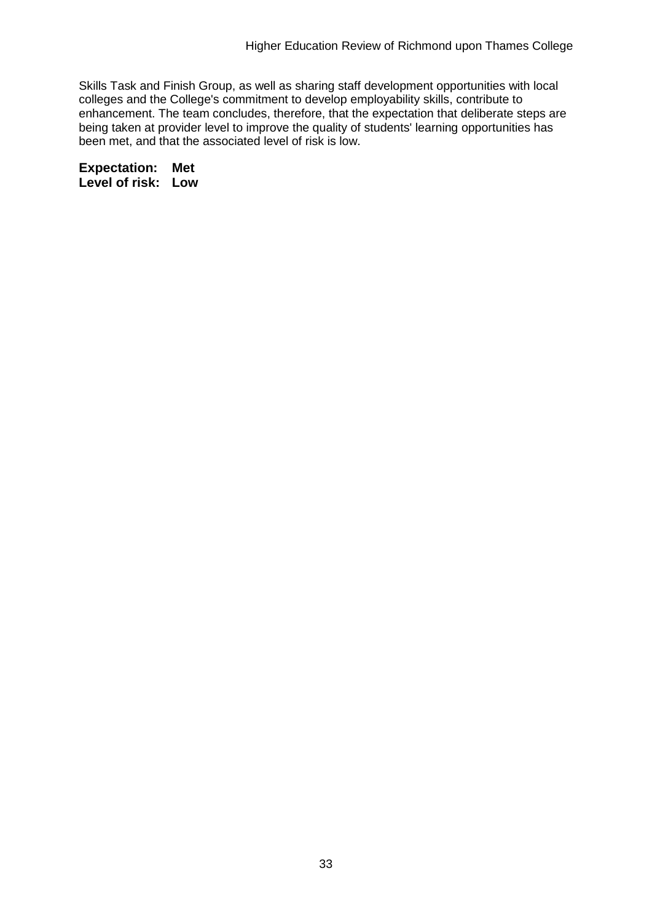Skills Task and Finish Group, as well as sharing staff development opportunities with local colleges and the College's commitment to develop employability skills, contribute to enhancement. The team concludes, therefore, that the expectation that deliberate steps are being taken at provider level to improve the quality of students' learning opportunities has been met, and that the associated level of risk is low.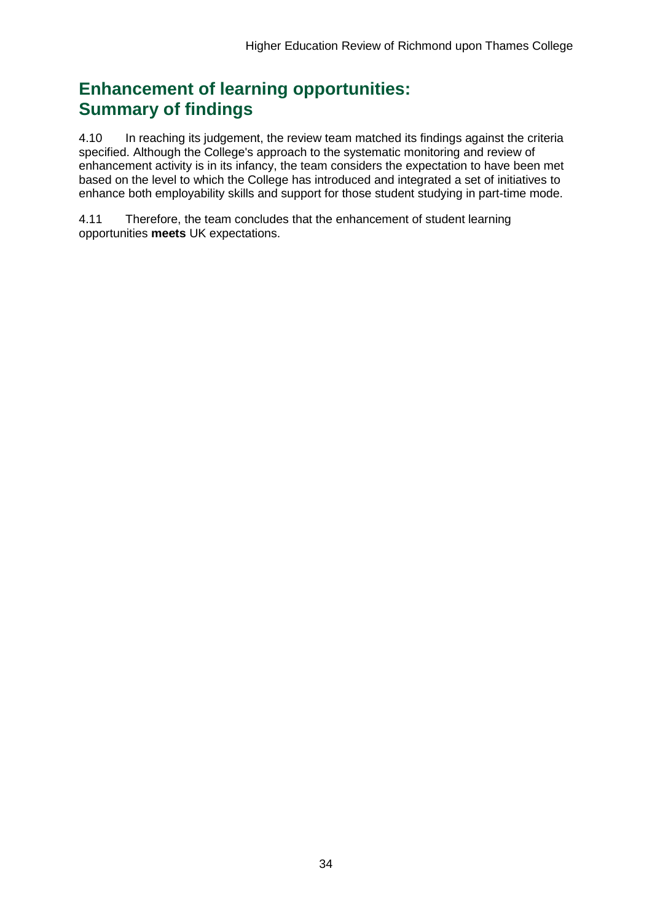## **Enhancement of learning opportunities: Summary of findings**

4.10 In reaching its judgement, the review team matched its findings against the criteria specified. Although the College's approach to the systematic monitoring and review of enhancement activity is in its infancy, the team considers the expectation to have been met based on the level to which the College has introduced and integrated a set of initiatives to enhance both employability skills and support for those student studying in part-time mode.

4.11 Therefore, the team concludes that the enhancement of student learning opportunities **meets** UK expectations.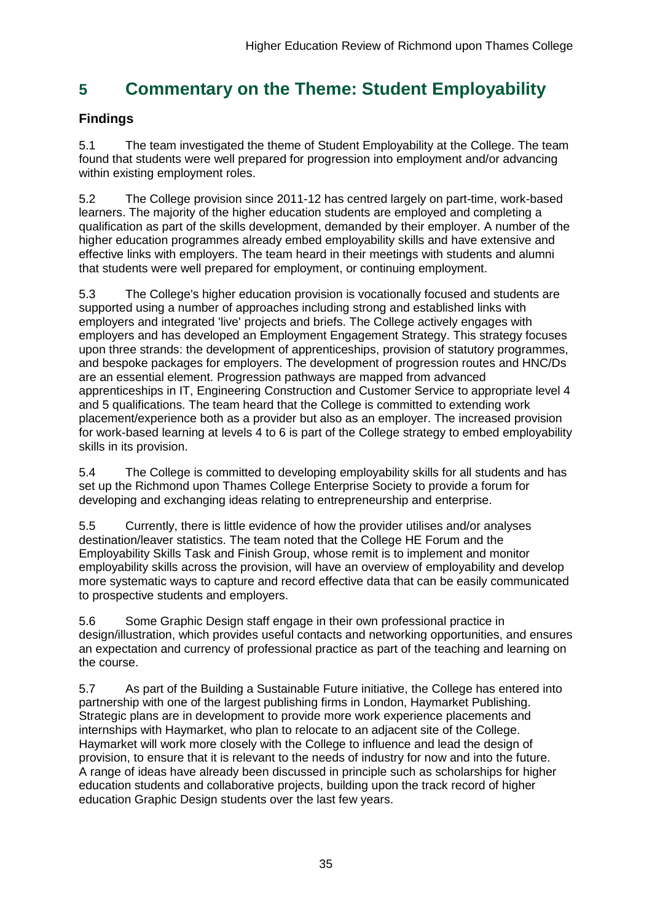## <span id="page-35-0"></span>**5 Commentary on the Theme: Student Employability**

## **Findings**

5.1 The team investigated the theme of Student Employability at the College. The team found that students were well prepared for progression into employment and/or advancing within existing employment roles.

5.2 The College provision since 2011-12 has centred largely on part-time, work-based learners. The majority of the higher education students are employed and completing a qualification as part of the skills development, demanded by their employer. A number of the higher education programmes already embed employability skills and have extensive and effective links with employers. The team heard in their meetings with students and alumni that students were well prepared for employment, or continuing employment.

5.3 The College's higher education provision is vocationally focused and students are supported using a number of approaches including strong and established links with employers and integrated 'live' projects and briefs. The College actively engages with employers and has developed an Employment Engagement Strategy. This strategy focuses upon three strands: the development of apprenticeships, provision of statutory programmes, and bespoke packages for employers. The development of progression routes and HNC/Ds are an essential element. Progression pathways are mapped from advanced apprenticeships in IT, Engineering Construction and Customer Service to appropriate level 4 and 5 qualifications. The team heard that the College is committed to extending work placement/experience both as a provider but also as an employer. The increased provision for work-based learning at levels 4 to 6 is part of the College strategy to embed employability skills in its provision.

5.4 The College is committed to developing employability skills for all students and has set up the Richmond upon Thames College Enterprise Society to provide a forum for developing and exchanging ideas relating to entrepreneurship and enterprise.

5.5 Currently, there is little evidence of how the provider utilises and/or analyses destination/leaver statistics. The team noted that the College HE Forum and the Employability Skills Task and Finish Group, whose remit is to implement and monitor employability skills across the provision, will have an overview of employability and develop more systematic ways to capture and record effective data that can be easily communicated to prospective students and employers.

5.6 Some Graphic Design staff engage in their own professional practice in design/illustration, which provides useful contacts and networking opportunities, and ensures an expectation and currency of professional practice as part of the teaching and learning on the course.

5.7 As part of the Building a Sustainable Future initiative, the College has entered into partnership with one of the largest publishing firms in London, Haymarket Publishing. Strategic plans are in development to provide more work experience placements and internships with Haymarket, who plan to relocate to an adjacent site of the College. Haymarket will work more closely with the College to influence and lead the design of provision, to ensure that it is relevant to the needs of industry for now and into the future. A range of ideas have already been discussed in principle such as scholarships for higher education students and collaborative projects, building upon the track record of higher education Graphic Design students over the last few years.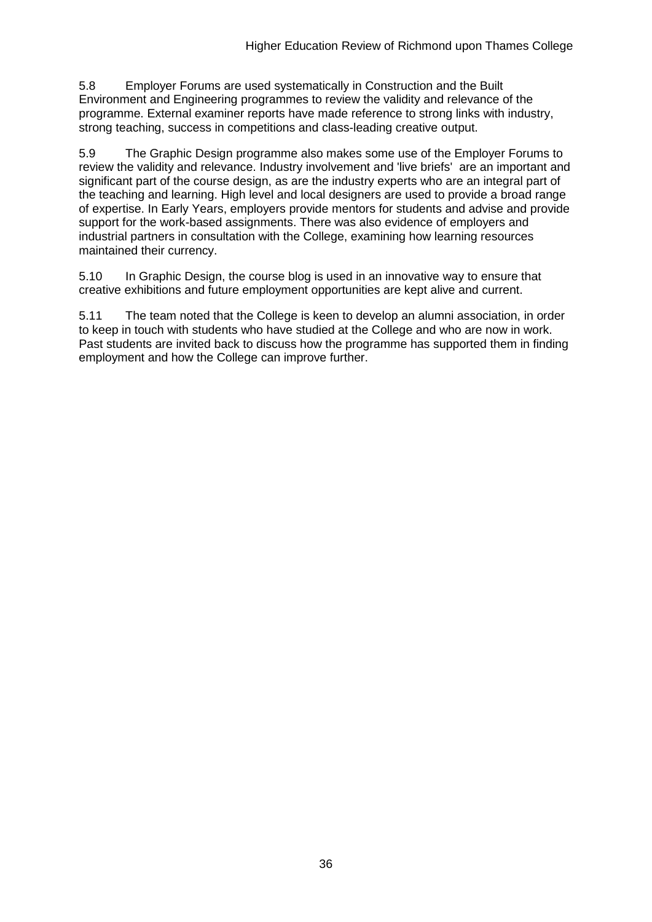5.8 Employer Forums are used systematically in Construction and the Built Environment and Engineering programmes to review the validity and relevance of the programme. External examiner reports have made reference to strong links with industry, strong teaching, success in competitions and class-leading creative output.

5.9 The Graphic Design programme also makes some use of the Employer Forums to review the validity and relevance. Industry involvement and 'live briefs' are an important and significant part of the course design, as are the industry experts who are an integral part of the teaching and learning. High level and local designers are used to provide a broad range of expertise. In Early Years, employers provide mentors for students and advise and provide support for the work-based assignments. There was also evidence of employers and industrial partners in consultation with the College, examining how learning resources maintained their currency.

5.10 In Graphic Design, the course blog is used in an innovative way to ensure that creative exhibitions and future employment opportunities are kept alive and current.

5.11 The team noted that the College is keen to develop an alumni association, in order to keep in touch with students who have studied at the College and who are now in work. Past students are invited back to discuss how the programme has supported them in finding employment and how the College can improve further.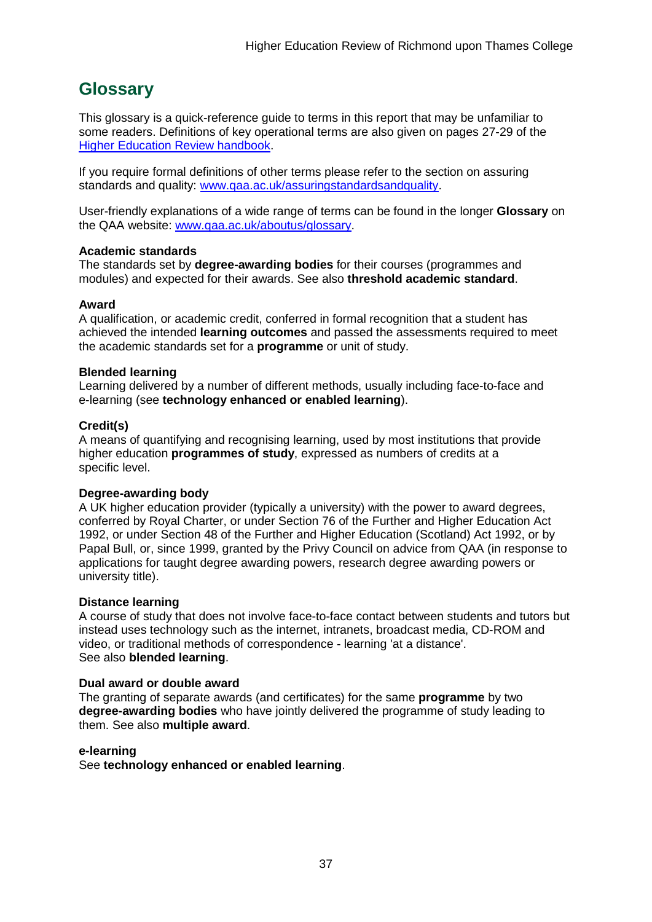## <span id="page-37-0"></span>**Glossary**

This glossary is a quick-reference guide to terms in this report that may be unfamiliar to some readers. Definitions of key operational terms are also given on pages 27-29 of the Higher Education Review [handbook.](http://www.qaa.ac.uk/Publications/InformationAndGuidance/Pages/HER-handbook-13.aspx)

If you require formal definitions of other terms please refer to the section on assuring standards and quality: [www.qaa.ac.uk/assuringstandardsandquality.](http://www.qaa.ac.uk/assuringstandardsandquality/pages/default.aspx)

User-friendly explanations of a wide range of terms can be found in the longer **Glossary** on the QAA website: [www.qaa.ac.uk/aboutus/glossary.](http://www.qaa.ac.uk/aboutus/glossary/pages/default.aspx)

#### **Academic standards**

The standards set by **degree-awarding bodies** for their courses (programmes and modules) and expected for their awards. See also **threshold academic standard**.

#### **Award**

A qualification, or academic credit, conferred in formal recognition that a student has achieved the intended **learning outcomes** and passed the assessments required to meet the academic standards set for a **programme** or unit of study.

#### **Blended learning**

Learning delivered by a number of different methods, usually including face-to-face and e-learning (see **[technology](http://www.qaa.ac.uk/AboutUs/glossary/Pages/glossary-t.aspx#t1) enhanced or enabled learning**).

#### **Credit(s)**

A means of quantifying and recognising learning, used by most institutions that provide higher education **programmes of study**, expressed as numbers of credits at a specific level.

#### **Degree-awarding body**

A UK higher [education](http://newlive.qaa.ac.uk/AboutUs/glossary/Pages/glossary-h.aspx#h2.1) provider (typically a [university\)](http://newlive.qaa.ac.uk/AboutUs/glossary/Pages/glossary-u-z.aspx#u4) with the power to award degrees, conferred by Royal Charter, or under Section 76 of the Further and Higher Education Act 1992, or under Section 48 of the Further and Higher Education (Scotland) Act 1992, or by Papal Bull, or, since 1999, granted by the Privy Council on advice from QAA (in response to applications for taught degree [awarding](http://newlive.qaa.ac.uk/AboutUs/DAP/Pages/default.aspx) powers, research degree awarding powers or [university](http://newlive.qaa.ac.uk/AboutUs/DAP/Pages/default.aspx) title).

#### **Distance learning**

A course of study that does not involve face-to-face contact between students and tutors but instead uses technology such as the internet, intranets, broadcast media, CD-ROM and video, or traditional methods of correspondence - learning 'at a distance'. See also **blended learning**.

#### **Dual award or double award**

The granting of separate awards (and certificates) for the same **programme** by two **degree-awarding bodies** who have jointly delivered the programme of study leading to them. See also **multiple award**.

#### **e-learning**

See **technology enhanced or enabled learning**.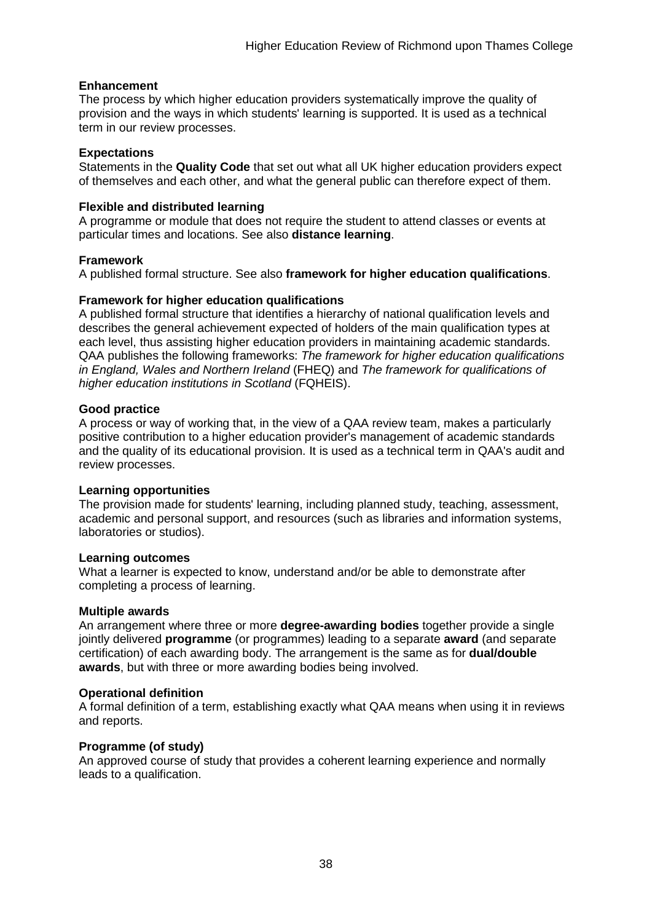#### **Enhancement**

The process by which higher [education](http://www.qaa.ac.uk/AboutUs/glossary/Pages/glossary-h.aspx#h2.1) providers systematically improve the quality of provision and the ways in which students' learning is supported. It is used as a technical term in our review processes.

#### **Expectations**

Statements in the **Quality Code** that set out what all UK higher [education](http://newlive.qaa.ac.uk/AboutUs/glossary/Pages/glossary-h.aspx#h2.1) providers expect of themselves and each other, and what the general public can therefore expect of them.

#### **Flexible and distributed learning**

A [programme](http://newlive.qaa.ac.uk/AboutUs/glossary/Pages/glossary-p.aspx#p12) or [module](http://newlive.qaa.ac.uk/AboutUs/glossary/Pages/glossary-m-o.aspx#m6) that does not require the student to attend classes or events at particular times and locations. See also **distance learning**.

#### **Framework**

A published formal structure. See also **framework for higher education qualifications**.

#### **Framework for higher education qualifications**

A published formal structure that identifies a hierarchy of national qualification levels and describes the general achievement expected of holders of the main qualification types at each level, thus assisting higher education providers in maintaining academic standards. QAA publishes the following frameworks: *The framework for higher education qualifications in England, Wales and Northern Ireland* (FHEQ) and *The framework for qualifications of higher education institutions in Scotland* (FQHEIS).

#### **Good practice**

A process or way of working that, in the view of a QAA review team, makes a particularly positive contribution to a higher education provider's management of academic standards and the quality of its educational provision. It is used as a technical term in QAA's audit and review processes.

#### **Learning opportunities**

The provision made for students' learning, including planned study, teaching, assessment, academic and personal support, and resources (such as libraries and information systems, laboratories or studios).

#### **Learning outcomes**

What a learner is expected to know, understand and/or be able to demonstrate after completing a process of learning.

#### **Multiple awards**

An arrangement where three or more **degree-awarding bodies** together provide a single jointly delivered **programme** (or programmes) leading to a separate **award** (and separate certification) of each awarding body. The arrangement is the same as for **dual/double awards**, but with three or more awarding bodies being involved.

#### **Operational definition**

A formal definition of a term, establishing exactly what QAA means when using it in reviews and reports.

#### **Programme (of study)**

An approved course of study that provides a coherent learning experience and normally leads to a qualification.